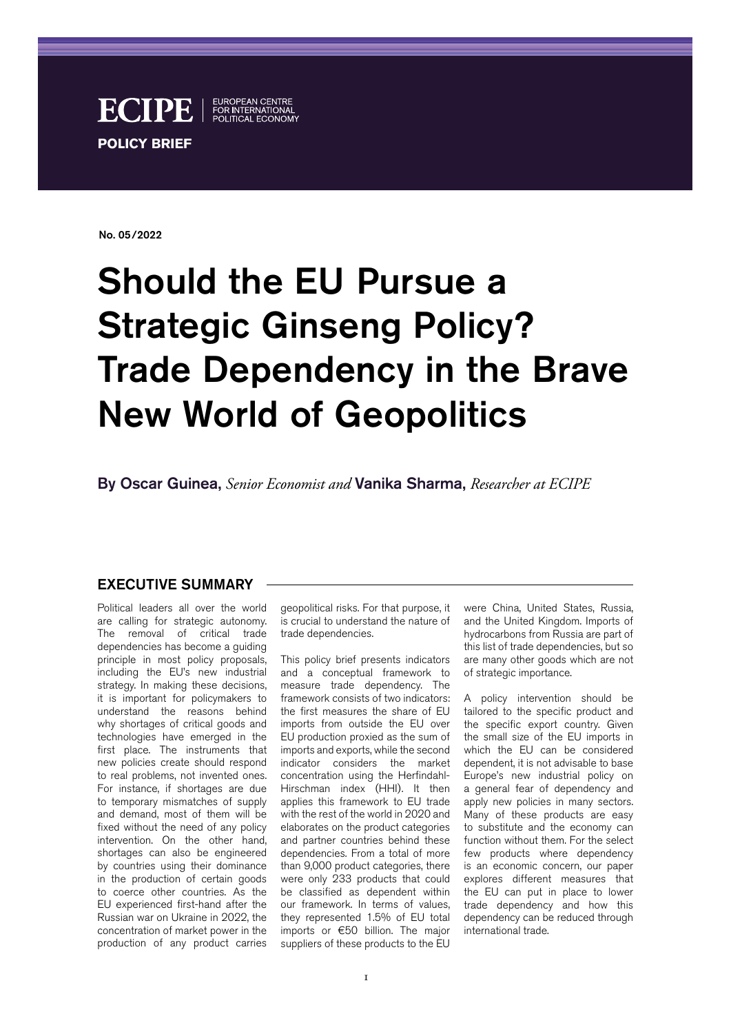

No. 05/2022

# Should the EU Pursue a Strategic Ginseng Policy? Trade Dependency in the Brave New World of Geopolitics

By Oscar Guinea, *Senior Economist and* Vanika Sharma, *Researcher at ECIPE*

#### EXECUTIVE SUMMARY

Political leaders all over the world are calling for strategic autonomy. The removal of critical trade dependencies has become a guiding principle in most policy proposals, including the EU's new industrial strategy. In making these decisions, it is important for policymakers to understand the reasons behind why shortages of critical goods and technologies have emerged in the first place. The instruments that new policies create should respond to real problems, not invented ones. For instance, if shortages are due to temporary mismatches of supply and demand, most of them will be fixed without the need of any policy intervention. On the other hand, shortages can also be engineered by countries using their dominance in the production of certain goods to coerce other countries. As the EU experienced first-hand after the Russian war on Ukraine in 2022, the concentration of market power in the production of any product carries

geopolitical risks. For that purpose, it is crucial to understand the nature of trade dependencies.

This policy brief presents indicators and a conceptual framework to measure trade dependency. The framework consists of two indicators: the first measures the share of EU imports from outside the EU over EU production proxied as the sum of imports and exports, while the second indicator considers the market concentration using the Herfindahl-Hirschman index (HHI). It then applies this framework to EU trade with the rest of the world in 2020 and elaborates on the product categories and partner countries behind these dependencies. From a total of more than 9,000 product categories, there were only 233 products that could be classified as dependent within our framework. In terms of values, they represented 1.5% of EU total imports or €50 billion. The major suppliers of these products to the EU

were China, United States, Russia, and the United Kingdom. Imports of hydrocarbons from Russia are part of this list of trade dependencies, but so are many other goods which are not of strategic importance.

A policy intervention should be tailored to the specific product and the specific export country. Given the small size of the EU imports in which the EU can be considered dependent, it is not advisable to base Europe's new industrial policy on a general fear of dependency and apply new policies in many sectors. Many of these products are easy to substitute and the economy can function without them. For the select few products where dependency is an economic concern, our paper explores different measures that the EU can put in place to lower trade dependency and how this dependency can be reduced through international trade.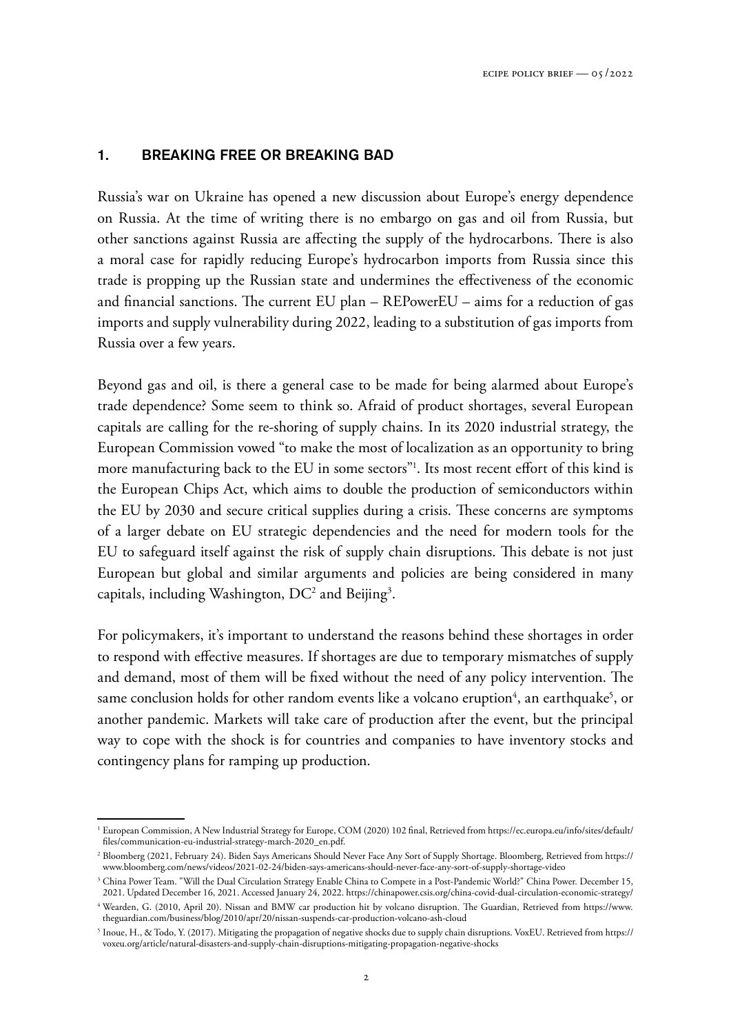#### 1. BREAKING FREE OR BREAKING BAD

Russia's war on Ukraine has opened a new discussion about Europe's energy dependence on Russia. At the time of writing there is no embargo on gas and oil from Russia, but other sanctions against Russia are affecting the supply of the hydrocarbons. There is also a moral case for rapidly reducing Europe's hydrocarbon imports from Russia since this trade is propping up the Russian state and undermines the effectiveness of the economic and financial sanctions. The current EU plan – REPowerEU – aims for a reduction of gas imports and supply vulnerability during 2022, leading to a substitution of gas imports from Russia over a few years.

Beyond gas and oil, is there a general case to be made for being alarmed about Europe's trade dependence? Some seem to think so. Afraid of product shortages, several European capitals are calling for the re-shoring of supply chains. In its 2020 industrial strategy, the European Commission vowed "to make the most of localization as an opportunity to bring more manufacturing back to the EU in some sectors"<sup>1</sup> . Its most recent effort of this kind is the European Chips Act, which aims to double the production of semiconductors within the EU by 2030 and secure critical supplies during a crisis. These concerns are symptoms of a larger debate on EU strategic dependencies and the need for modern tools for the EU to safeguard itself against the risk of supply chain disruptions. This debate is not just European but global and similar arguments and policies are being considered in many capitals, including Washington,  $DC^2$  and Beijing<sup>3</sup>.

For policymakers, it's important to understand the reasons behind these shortages in order to respond with effective measures. If shortages are due to temporary mismatches of supply and demand, most of them will be fixed without the need of any policy intervention. The same conclusion holds for other random events like a volcano eruption $^4$ , an earthquake $^5$ , or another pandemic. Markets will take care of production after the event, but the principal way to cope with the shock is for countries and companies to have inventory stocks and contingency plans for ramping up production.

<sup>1</sup> European Commission, A New Industrial Strategy for Europe, COM (2020) 102 final, Retrieved from [https://ec.europa.eu/info/sites/default/](https://ec.europa.eu/info/sites/default/files/communication-eu-industrial-strategy-march-2020_en.pdf) [files/communication-eu-industrial-strategy-march-2020\\_en.pdf](https://ec.europa.eu/info/sites/default/files/communication-eu-industrial-strategy-march-2020_en.pdf).

<sup>2</sup> Bloomberg (2021, February 24). Biden Says Americans Should Never Face Any Sort of Supply Shortage. Bloomberg, Retrieved from [https://](https://www.bloomberg.com/news/videos/2021-02-24/biden-says-americans-should-never-face-any-sort-of-supply-shortage-video) [www.bloomberg.com/news/videos/2021-02-24/biden-says-americans-should-never-face-any-sort-of-supply-shortage-video](https://www.bloomberg.com/news/videos/2021-02-24/biden-says-americans-should-never-face-any-sort-of-supply-shortage-video)

<sup>3</sup> China Power Team. "Will the Dual Circulation Strategy Enable China to Compete in a Post-Pandemic World?" China Power. December 15, 2021. Updated December 16, 2021. Accessed January 24, 2022.<https://chinapower.csis.org/china-covid-dual-circulation-economic-strategy/>

<sup>4</sup> Wearden, G. (2010, April 20). Nissan and BMW car production hit by volcano disruption. The Guardian, Retrieved from [https://www.](https://www.theguardian.com/business/blog/2010/apr/20/nissan-suspends-car-production-volcano-ash-cloud) [theguardian.com/business/blog/2010/apr/20/nissan-suspends-car-production-volcano-ash-cloud](https://www.theguardian.com/business/blog/2010/apr/20/nissan-suspends-car-production-volcano-ash-cloud)

<sup>5</sup> Inoue, H., & Todo, Y. (2017). Mitigating the propagation of negative shocks due to supply chain disruptions. VoxEU. Retrieved from [https://](https://voxeu.org/article/natural-disasters-and-supply-chain-disruptions-mitigating-propagation-negative-shocks) [voxeu.org/article/natural-disasters-and-supply-chain-disruptions-mitigating-propagation-negative-shocks](https://voxeu.org/article/natural-disasters-and-supply-chain-disruptions-mitigating-propagation-negative-shocks)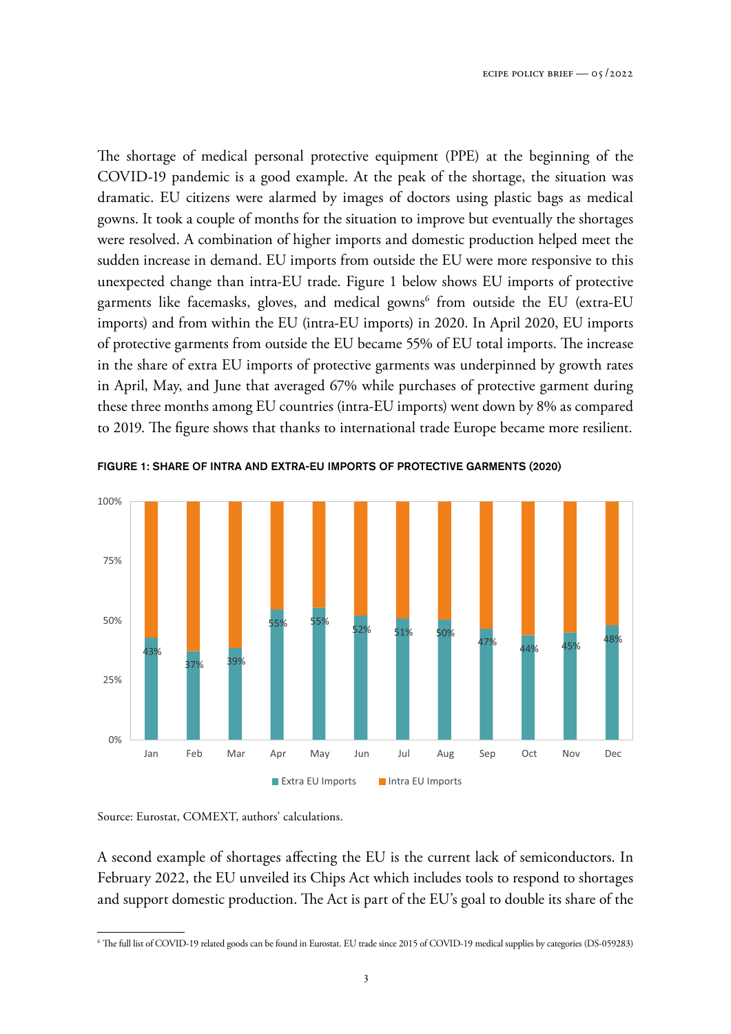The shortage of medical personal protective equipment (PPE) at the beginning of the COVID-19 pandemic is a good example. At the peak of the shortage, the situation was dramatic. EU citizens were alarmed by images of doctors using plastic bags as medical gowns. It took a couple of months for the situation to improve but eventually the shortages were resolved. A combination of higher imports and domestic production helped meet the sudden increase in demand. EU imports from outside the EU were more responsive to this unexpected change than intra-EU trade. Figure 1 below shows EU imports of protective garments like facemasks, gloves, and medical gowns $^6$  from outside the EU (extra-EU imports) and from within the EU (intra-EU imports) in 2020. In April 2020, EU imports of protective garments from outside the EU became 55% of EU total imports. The increase in the share of extra EU imports of protective garments was underpinned by growth rates in April, May, and June that averaged 67% while purchases of protective garment during these three months among EU countries (intra-EU imports) went down by 8% as compared to 2019. The figure shows that thanks to international trade Europe became more resilient.



FIGURE 1: SHARE OF INTRA AND EXTRA-EU IMPORTS OF PROTECTIVE GARMENTS (2020)

A second example of shortages affecting the EU is the current lack of semiconductors. In February 2022, the EU unveiled its Chips Act which includes tools to respond to shortages and support domestic production. The Act is part of the EU's goal to double its share of the

Source: Eurostat, COMEXT, authors' calculations.

<sup>6</sup> The full list of COVID-19 related goods can be found in Eurostat. EU trade since 2015 of COVID-19 medical supplies by categories (DS-059283)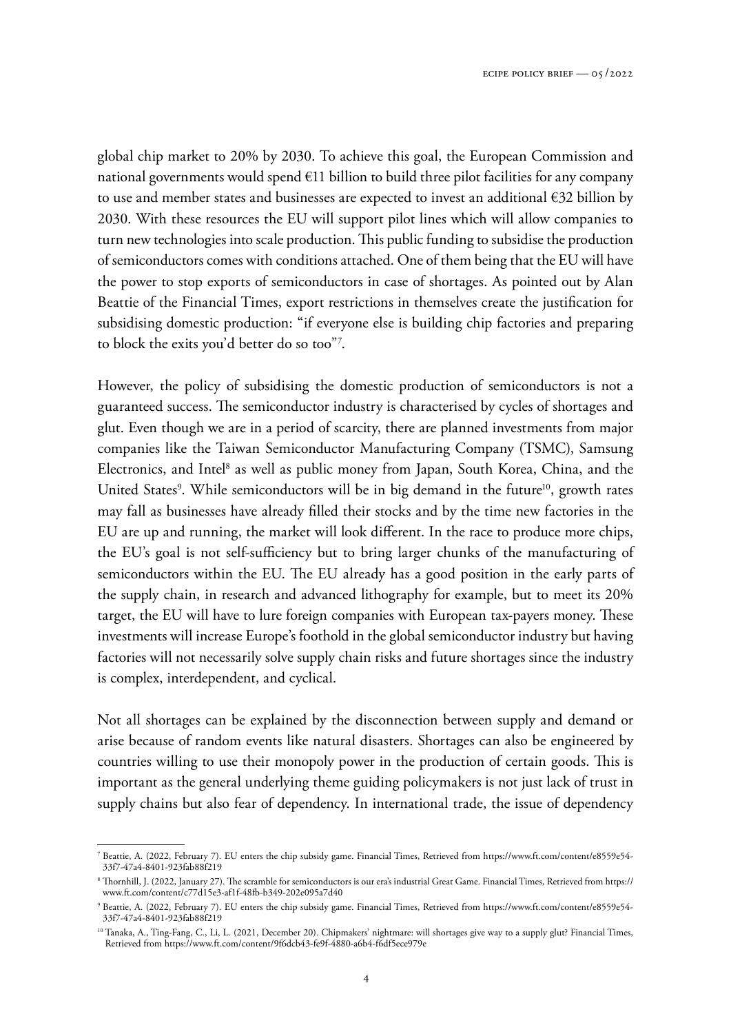global chip market to 20% by 2030. To achieve this goal, the European Commission and national governments would spend  $E11$  billion to build three pilot facilities for any company to use and member states and businesses are expected to invest an additional €32 billion by 2030. With these resources the EU will support pilot lines which will allow companies to turn new technologies into scale production. This public funding to subsidise the production of semiconductors comes with conditions attached. One of them being that the EU will have the power to stop exports of semiconductors in case of shortages. As pointed out by Alan Beattie of the Financial Times, export restrictions in themselves create the justification for subsidising domestic production: "if everyone else is building chip factories and preparing to block the exits you'd better do so too"<sup>7</sup> .

However, the policy of subsidising the domestic production of semiconductors is not a guaranteed success. The semiconductor industry is characterised by cycles of shortages and glut. Even though we are in a period of scarcity, there are planned investments from major companies like the Taiwan Semiconductor Manufacturing Company (TSMC), Samsung Electronics, and Intel<sup>8</sup> as well as public money from Japan, South Korea, China, and the United States<sup>9</sup>. While semiconductors will be in big demand in the future<sup>10</sup>, growth rates may fall as businesses have already filled their stocks and by the time new factories in the EU are up and running, the market will look different. In the race to produce more chips, the EU's goal is not self-sufficiency but to bring larger chunks of the manufacturing of semiconductors within the EU. The EU already has a good position in the early parts of the supply chain, in research and advanced lithography for example, but to meet its 20% target, the EU will have to lure foreign companies with European tax-payers money. These investments will increase Europe's foothold in the global semiconductor industry but having factories will not necessarily solve supply chain risks and future shortages since the industry is complex, interdependent, and cyclical.

Not all shortages can be explained by the disconnection between supply and demand or arise because of random events like natural disasters. Shortages can also be engineered by countries willing to use their monopoly power in the production of certain goods. This is important as the general underlying theme guiding policymakers is not just lack of trust in supply chains but also fear of dependency. In international trade, the issue of dependency

<sup>7</sup> Beattie, A. (2022, February 7). EU enters the chip subsidy game. Financial Times, Retrieved from [https://www.ft.com/content/e8559e54-](https://www.ft.com/content/e8559e54-33f7-47a4-8401-923fab88f219) [33f7-47a4-8401-923fab88f219](https://www.ft.com/content/e8559e54-33f7-47a4-8401-923fab88f219)

<sup>8</sup> Thornhill, J. (2022, January 27). The scramble for semiconductors is our era's industrial Great Game. Financial Times, Retrieved from [https://](https://www.ft.com/content/c77d15e3-af1f-48fb-b349-202e095a7d40) [www.ft.com/content/c77d15e3-af1f-48fb-b349-202e095a7d40](https://www.ft.com/content/c77d15e3-af1f-48fb-b349-202e095a7d40)

<sup>9</sup> Beattie, A. (2022, February 7). EU enters the chip subsidy game. Financial Times, Retrieved from [https://www.ft.com/content/e8559e54-](https://www.ft.com/content/e8559e54-33f7-47a4-8401-923fab88f219) [33f7-47a4-8401-923fab88f219](https://www.ft.com/content/e8559e54-33f7-47a4-8401-923fab88f219)

<sup>&</sup>lt;sup>10</sup> Tanaka, A., Ting-Fang, C., Li, L. (2021, December 20). Chipmakers' nightmare: will shortages give way to a supply glut? Financial Times, Retrieved from<https://www.ft.com/content/9f6dcb43-fe9f-4880-a6b4-f6df5ece979e>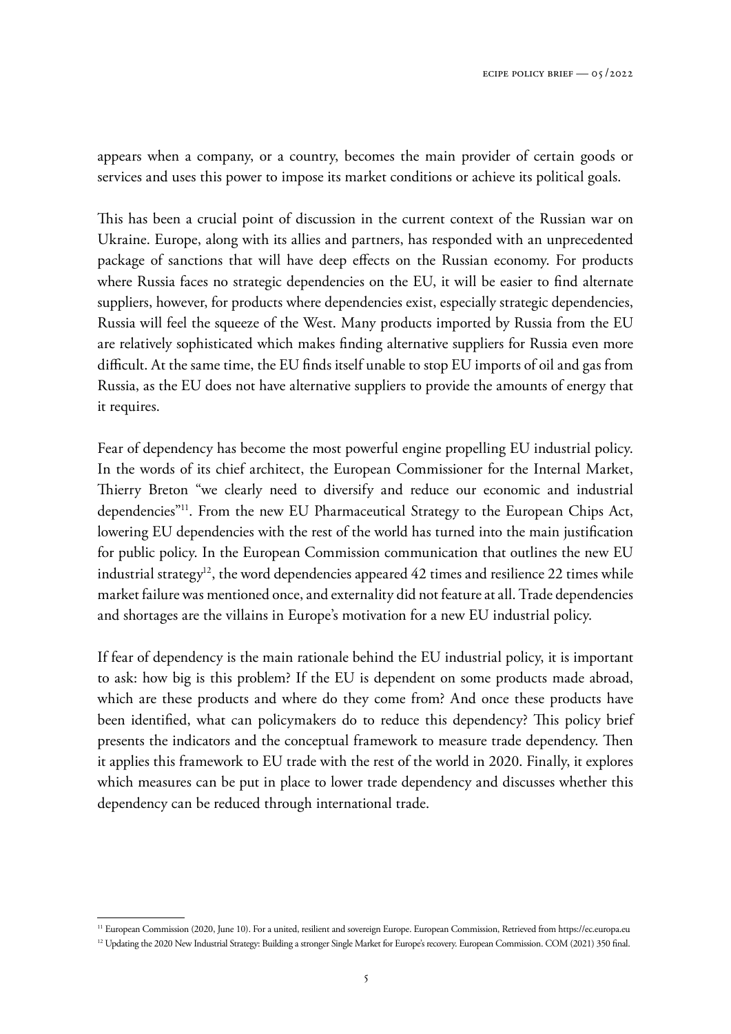appears when a company, or a country, becomes the main provider of certain goods or services and uses this power to impose its market conditions or achieve its political goals.

This has been a crucial point of discussion in the current context of the Russian war on Ukraine. Europe, along with its allies and partners, has responded with an unprecedented package of sanctions that will have deep effects on the Russian economy. For products where Russia faces no strategic dependencies on the EU, it will be easier to find alternate suppliers, however, for products where dependencies exist, especially strategic dependencies, Russia will feel the squeeze of the West. Many products imported by Russia from the EU are relatively sophisticated which makes finding alternative suppliers for Russia even more difficult. At the same time, the EU finds itself unable to stop EU imports of oil and gas from Russia, as the EU does not have alternative suppliers to provide the amounts of energy that it requires.

Fear of dependency has become the most powerful engine propelling EU industrial policy. In the words of its chief architect, the European Commissioner for the Internal Market, Thierry Breton "we clearly need to diversify and reduce our economic and industrial dependencies"<sup>11</sup>. From the new EU Pharmaceutical Strategy to the European Chips Act, lowering EU dependencies with the rest of the world has turned into the main justification for public policy. In the European Commission communication that outlines the new EU industrial strategy<sup>12</sup>, the word dependencies appeared  $42$  times and resilience 22 times while market failure was mentioned once, and externality did not feature at all. Trade dependencies and shortages are the villains in Europe's motivation for a new EU industrial policy.

If fear of dependency is the main rationale behind the EU industrial policy, it is important to ask: how big is this problem? If the EU is dependent on some products made abroad, which are these products and where do they come from? And once these products have been identified, what can policymakers do to reduce this dependency? This policy brief presents the indicators and the conceptual framework to measure trade dependency. Then it applies this framework to EU trade with the rest of the world in 2020. Finally, it explores which measures can be put in place to lower trade dependency and discusses whether this dependency can be reduced through international trade.

<sup>&</sup>lt;sup>11</sup> European Commission (2020, June 10). For a united, resilient and sovereign Europe. European Commission, Retrieved from <https://ec.europa.eu>

<sup>&</sup>lt;sup>12</sup> Updating the 2020 New Industrial Strategy: Building a stronger Single Market for Europe's recovery. European Commission. COM (2021) 350 final.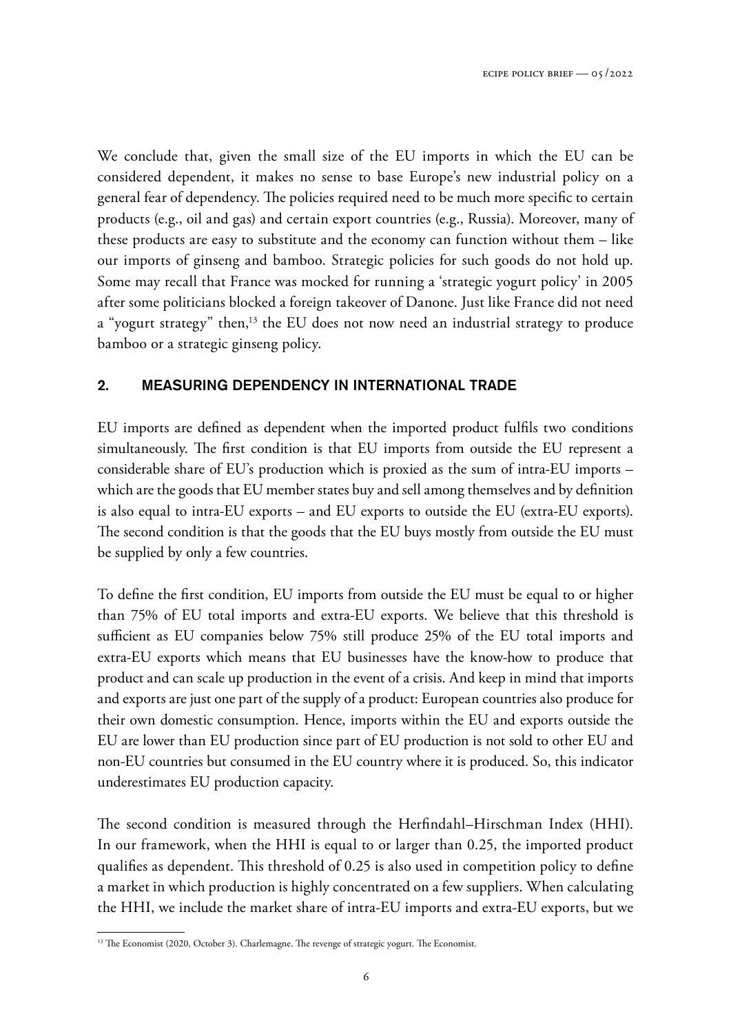We conclude that, given the small size of the EU imports in which the EU can be considered dependent, it makes no sense to base Europe's new industrial policy on a general fear of dependency. The policies required need to be much more specific to certain products (e.g., oil and gas) and certain export countries (e.g., Russia). Moreover, many of these products are easy to substitute and the economy can function without them – like our imports of ginseng and bamboo. Strategic policies for such goods do not hold up. Some may recall that France was mocked for running a 'strategic yogurt policy' in 2005 after some politicians blocked a foreign takeover of Danone. Just like France did not need a "yogurt strategy" then,<sup>13</sup> the EU does not now need an industrial strategy to produce bamboo or a strategic ginseng policy.

### 2. MEASURING DEPENDENCY IN INTERNATIONAL TRADE

EU imports are defined as dependent when the imported product fulfils two conditions simultaneously. The first condition is that EU imports from outside the EU represent a considerable share of EU's production which is proxied as the sum of intra-EU imports – which are the goods that EU member states buy and sell among themselves and by definition is also equal to intra-EU exports – and EU exports to outside the EU (extra-EU exports). The second condition is that the goods that the EU buys mostly from outside the EU must be supplied by only a few countries.

To define the first condition, EU imports from outside the EU must be equal to or higher than 75% of EU total imports and extra-EU exports. We believe that this threshold is sufficient as EU companies below 75% still produce 25% of the EU total imports and extra-EU exports which means that EU businesses have the know-how to produce that product and can scale up production in the event of a crisis. And keep in mind that imports and exports are just one part of the supply of a product: European countries also produce for their own domestic consumption. Hence, imports within the EU and exports outside the EU are lower than EU production since part of EU production is not sold to other EU and non-EU countries but consumed in the EU country where it is produced. So, this indicator underestimates EU production capacity.

The second condition is measured through the Herfindahl–Hirschman Index (HHI). In our framework, when the HHI is equal to or larger than 0.25, the imported product qualifies as dependent. This threshold of 0.25 is also used in competition policy to define a market in which production is highly concentrated on a few suppliers. When calculating the HHI, we include the market share of intra-EU imports and extra-EU exports, but we

<sup>&</sup>lt;sup>13</sup> The Economist (2020, October 3). Charlemagne. The revenge of strategic yogurt. The Economist.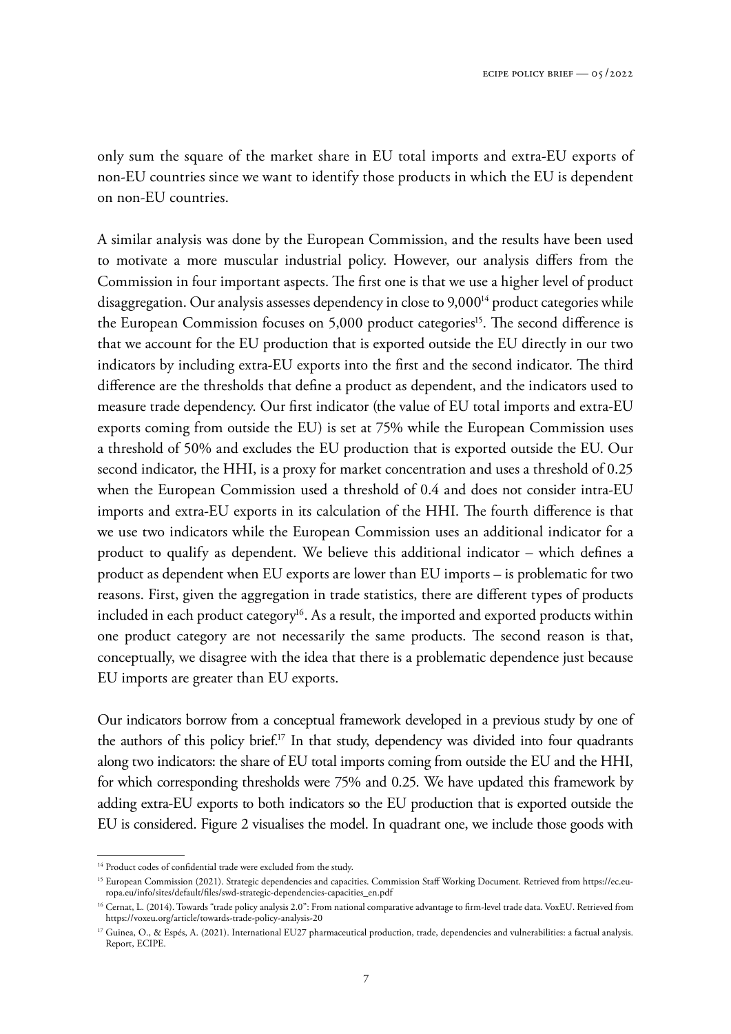only sum the square of the market share in EU total imports and extra-EU exports of non-EU countries since we want to identify those products in which the EU is dependent on non-EU countries.

A similar analysis was done by the European Commission, and the results have been used to motivate a more muscular industrial policy. However, our analysis differs from the Commission in four important aspects. The first one is that we use a higher level of product disaggregation. Our analysis assesses dependency in close to 9,000<sup>14</sup> product categories while the European Commission focuses on 5,000 product categories<sup>15</sup>. The second difference is that we account for the EU production that is exported outside the EU directly in our two indicators by including extra-EU exports into the first and the second indicator. The third difference are the thresholds that define a product as dependent, and the indicators used to measure trade dependency. Our first indicator (the value of EU total imports and extra-EU exports coming from outside the EU) is set at 75% while the European Commission uses a threshold of 50% and excludes the EU production that is exported outside the EU. Our second indicator, the HHI, is a proxy for market concentration and uses a threshold of 0.25 when the European Commission used a threshold of 0.4 and does not consider intra-EU imports and extra-EU exports in its calculation of the HHI. The fourth difference is that we use two indicators while the European Commission uses an additional indicator for a product to qualify as dependent. We believe this additional indicator – which defines a product as dependent when EU exports are lower than EU imports – is problematic for two reasons. First, given the aggregation in trade statistics, there are different types of products included in each product category<sup>16</sup>. As a result, the imported and exported products within one product category are not necessarily the same products. The second reason is that, conceptually, we disagree with the idea that there is a problematic dependence just because EU imports are greater than EU exports.

Our indicators borrow from a conceptual framework developed in a previous study by one of the authors of this policy brief.<sup>17</sup> In that study, dependency was divided into four quadrants along two indicators: the share of EU total imports coming from outside the EU and the HHI, for which corresponding thresholds were 75% and 0.25. We have updated this framework by adding extra-EU exports to both indicators so the EU production that is exported outside the EU is considered. Figure 2 visualises the model. In quadrant one, we include those goods with

<sup>&</sup>lt;sup>14</sup> Product codes of confidential trade were excluded from the study.

<sup>&</sup>lt;sup>15</sup> European Commission (2021). Strategic dependencies and capacities. Commission Staff Working Document. Retrieved from [https://ec.eu](https://ec.europa.eu/info/sites/default/files/swd-strategic-dependencies-capacities_en.pdf)[ropa.eu/info/sites/default/files/swd-strategic-dependencies-capacities\\_en.pdf](https://ec.europa.eu/info/sites/default/files/swd-strategic-dependencies-capacities_en.pdf)

<sup>16</sup> Cernat, L. (2014). Towards "trade policy analysis 2.0": From national comparative advantage to firm-level trade data. VoxEU. Retrieved from <https://voxeu.org/article/towards-trade-policy-analysis-20>

<sup>&</sup>lt;sup>17</sup> Guinea, O., & Espés, A. (2021). International EU27 pharmaceutical production, trade, dependencies and vulnerabilities: a factual analysis. Report, ECIPE.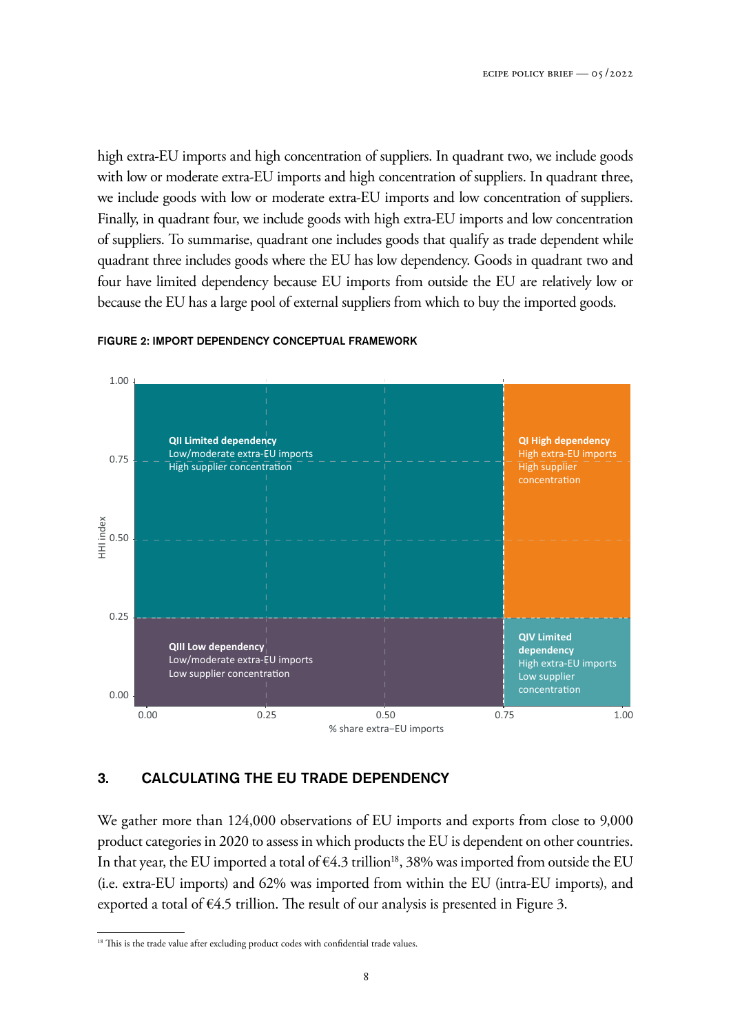high extra-EU imports and high concentration of suppliers. In quadrant two, we include goods with low or moderate extra-EU imports and high concentration of suppliers. In quadrant three, we include goods with low or moderate extra-EU imports and low concentration of suppliers. Finally, in quadrant four, we include goods with high extra-EU imports and low concentration of suppliers. To summarise, quadrant one includes goods that qualify as trade dependent while quadrant three includes goods where the EU has low dependency. Goods in quadrant two and four have limited dependency because EU imports from outside the EU are relatively low or because the EU has a large pool of external suppliers from which to buy the imported goods.



#### FIGURE 2: IMPORT DEPENDENCY CONCEPTUAL FRAMEWORK

#### 3. CALCULATING THE EU TRADE DEPENDENCY

We gather more than 124,000 observations of EU imports and exports from close to 9,000 product categories in 2020 to assess in which products the EU is dependent on other countries. In that year, the EU imported a total of  $64.3$  trillion<sup>18</sup>, 38% was imported from outside the EU (i.e. extra-EU imports) and 62% was imported from within the EU (intra-EU imports), and exported a total of  $\epsilon$ 4.5 trillion. The result of our analysis is presented in Figure 3.

<sup>&</sup>lt;sup>18</sup> This is the trade value after excluding product codes with confidential trade values.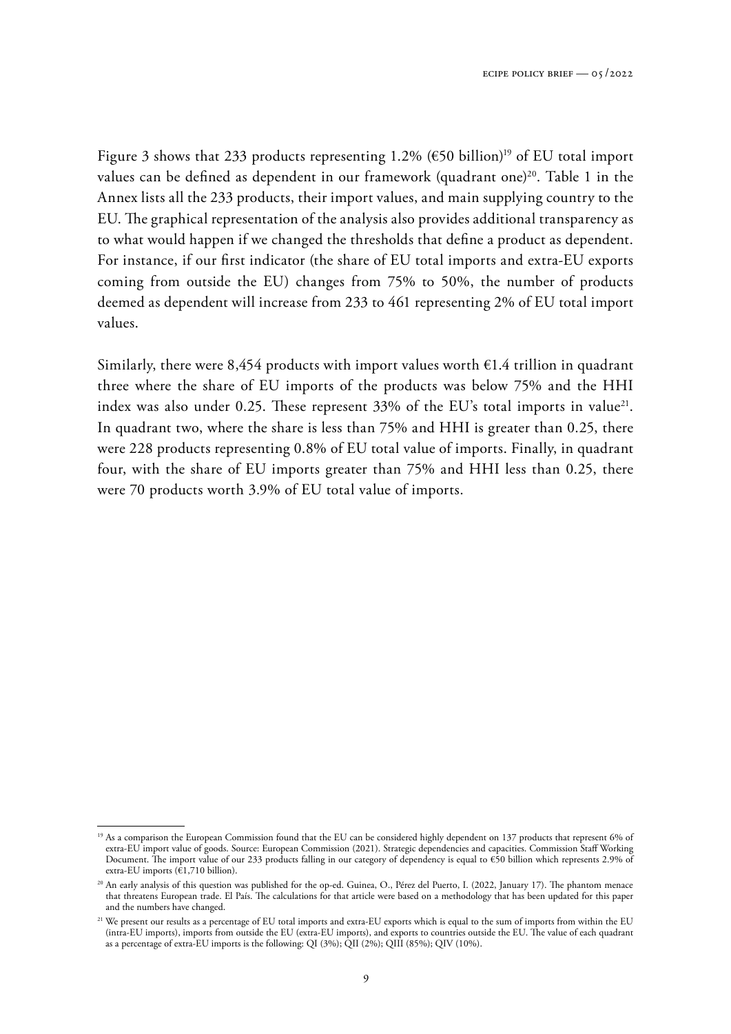Figure 3 shows that 233 products representing 1.2% ( $\epsilon$ 50 billion)<sup>19</sup> of EU total import values can be defined as dependent in our framework (quadrant one)<sup>20</sup>. Table 1 in the Annex lists all the 233 products, their import values, and main supplying country to the EU. The graphical representation of the analysis also provides additional transparency as to what would happen if we changed the thresholds that define a product as dependent. For instance, if our first indicator (the share of EU total imports and extra-EU exports coming from outside the EU) changes from 75% to 50%, the number of products deemed as dependent will increase from 233 to 461 representing 2% of EU total import values.

Similarly, there were 8,454 products with import values worth  $\epsilon$ 1.4 trillion in quadrant three where the share of EU imports of the products was below 75% and the HHI index was also under 0.25. These represent 33% of the EU's total imports in value<sup>21</sup>. In quadrant two, where the share is less than 75% and HHI is greater than 0.25, there were 228 products representing 0.8% of EU total value of imports. Finally, in quadrant four, with the share of EU imports greater than 75% and HHI less than 0.25, there were 70 products worth 3.9% of EU total value of imports.

<sup>&</sup>lt;sup>19</sup> As a comparison the European Commission found that the EU can be considered highly dependent on 137 products that represent 6% of extra-EU import value of goods. Source: European Commission (2021). Strategic dependencies and capacities. Commission Staff Working Document. The import value of our 233 products falling in our category of dependency is equal to €50 billion which represents 2.9% of extra-EU imports ( $\epsilon$ 1,710 billion).

<sup>&</sup>lt;sup>20</sup> An early analysis of this question was published for the op-ed. Guinea, O., Pérez del Puerto, I. (2022, January 17). The phantom menace that threatens European trade. El País. The calculations for that article were based on a methodology that has been updated for this paper and the numbers have changed.

<sup>&</sup>lt;sup>21</sup> We present our results as a percentage of EU total imports and extra-EU exports which is equal to the sum of imports from within the EU (intra-EU imports), imports from outside the EU (extra-EU imports), and exports to countries outside the EU. The value of each quadrant as a percentage of extra-EU imports is the following: QI (3%); QII (2%); QIII (85%); QIV (10%).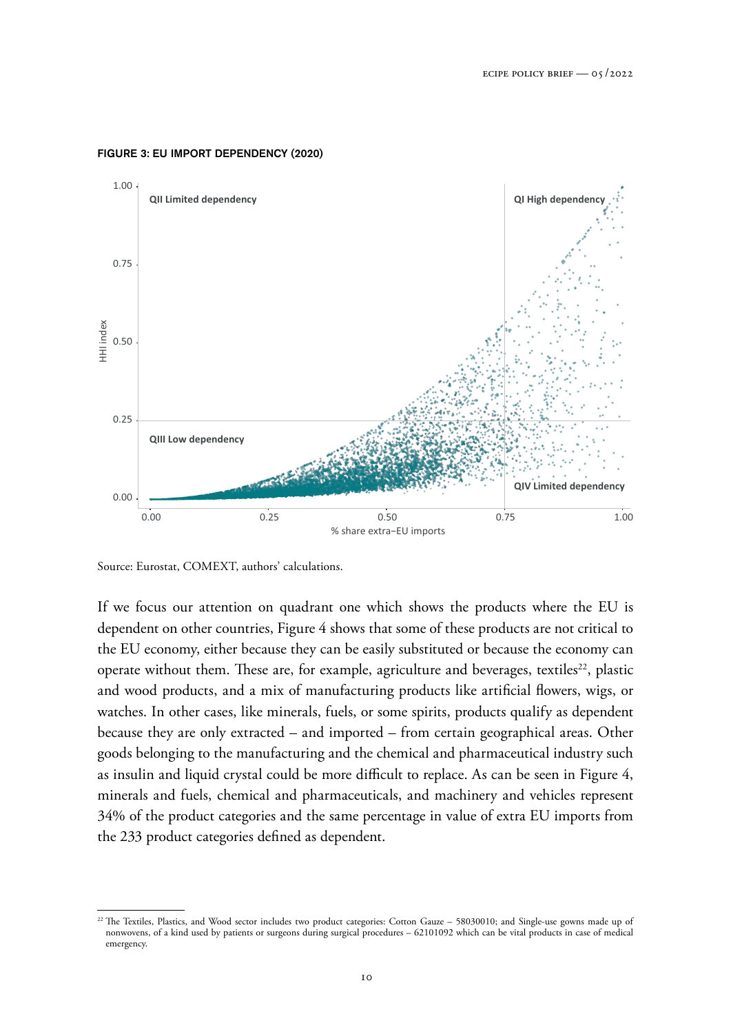

#### FIGURE 3: EU IMPORT DEPENDENCY (2020)

Source: Eurostat, COMEXT, authors' calculations.

If we focus our attention on quadrant one which shows the products where the EU is dependent on other countries, Figure 4 shows that some of these products are not critical to the EU economy, either because they can be easily substituted or because the economy can operate without them. These are, for example, agriculture and beverages, textiles<sup>22</sup>, plastic and wood products, and a mix of manufacturing products like artificial flowers, wigs, or watches. In other cases, like minerals, fuels, or some spirits, products qualify as dependent because they are only extracted – and imported – from certain geographical areas. Other goods belonging to the manufacturing and the chemical and pharmaceutical industry such as insulin and liquid crystal could be more difficult to replace. As can be seen in Figure 4, minerals and fuels, chemical and pharmaceuticals, and machinery and vehicles represent 34% of the product categories and the same percentage in value of extra EU imports from the 233 product categories defined as dependent.

<sup>&</sup>lt;sup>22</sup> The Textiles, Plastics, and Wood sector includes two product categories: Cotton Gauze – 58030010; and Single-use gowns made up of nonwovens, of a kind used by patients or surgeons during surgical procedures – 62101092 which can be vital products in case of medical emergency.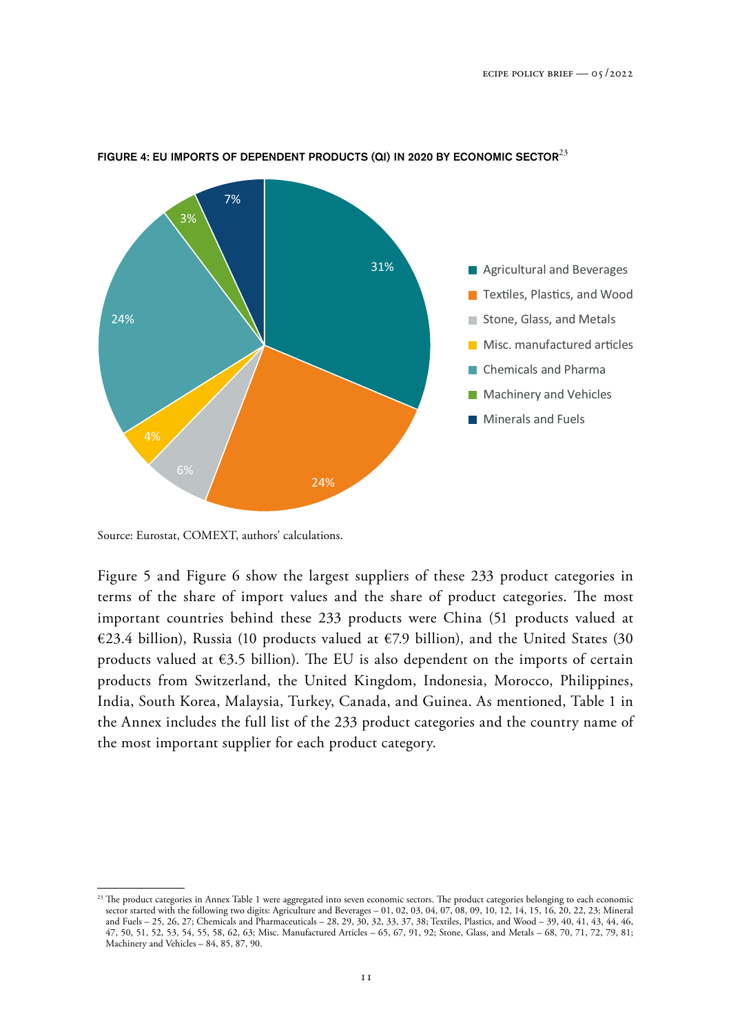

#### FIGURE 4: EU IMPORTS OF DEPENDENT PRODUCTS (QI) IN 2020 BY ECONOMIC SECTOR<sup>23</sup>

Source: Eurostat, COMEXT, authors' calculations.

Figure 5 and Figure 6 show the largest suppliers of these 233 product categories in terms of the share of import values and the share of product categories. The most important countries behind these 233 products were China (51 products valued at €23.4 billion), Russia (10 products valued at €7.9 billion), and the United States (30 products valued at  $\epsilon$ 3.5 billion). The EU is also dependent on the imports of certain products from Switzerland, the United Kingdom, Indonesia, Morocco, Philippines, India, South Korea, Malaysia, Turkey, Canada, and Guinea. As mentioned, Table 1 in the Annex includes the full list of the 233 product categories and the country name of the most important supplier for each product category.

<sup>&</sup>lt;sup>23</sup> The product categories in Annex Table 1 were aggregated into seven economic sectors. The product categories belonging to each economic sector started with the following two digits: Agriculture and Beverages – 01, 02, 03, 04, 07, 08, 09, 10, 12, 14, 15, 16, 20, 22, 23; Mineral and Fuels – 25, 26, 27; Chemicals and Pharmaceuticals – 28, 29, 30, 32, 33, 37, 38; Textiles, Plastics, and Wood – 39, 40, 41, 43, 44, 46, 47, 50, 51, 52, 53, 54, 55, 58, 62, 63; Misc. Manufactured Articles – 65, 67, 91, 92; Stone, Glass, and Metals – 68, 70, 71, 72, 79, 81; Machinery and Vehicles – 84, 85, 87, 90.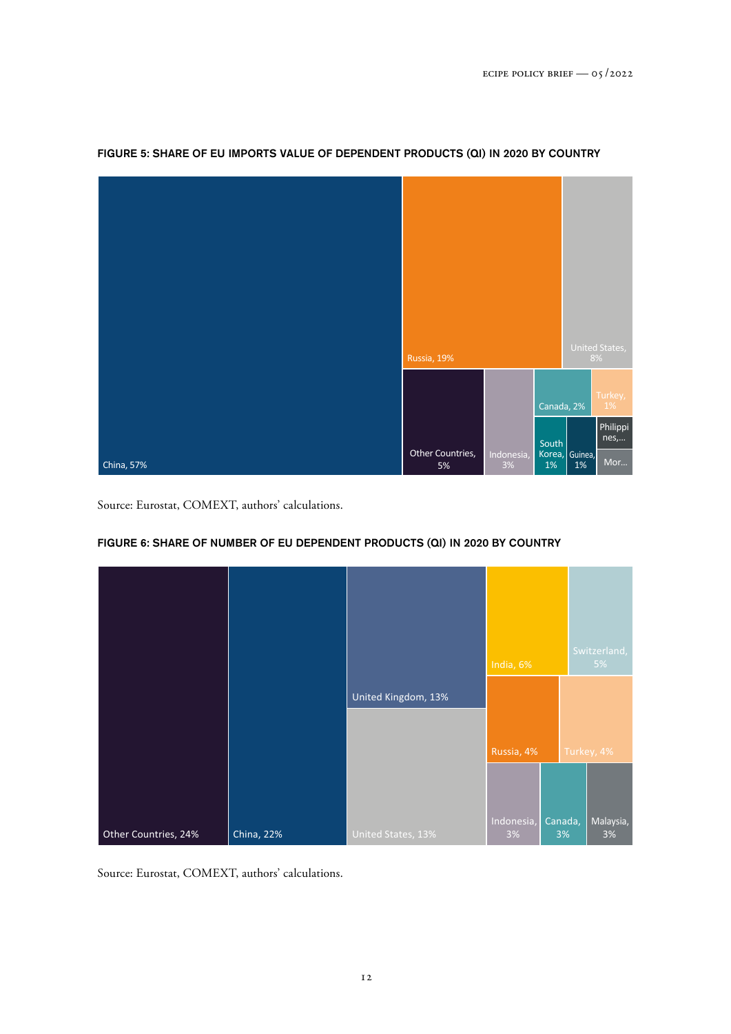

#### FIGURE 5: SHARE OF EU IMPORTS VALUE OF DEPENDENT PRODUCTS (QI) IN 2020 BY COUNTRY

Source: Eurostat, COMEXT, authors' calculations.

#### FIGURE 6: SHARE OF NUMBER OF EU DEPENDENT PRODUCTS (QI) IN 2020 BY COUNTRY



Source: Eurostat, COMEXT, authors' calculations.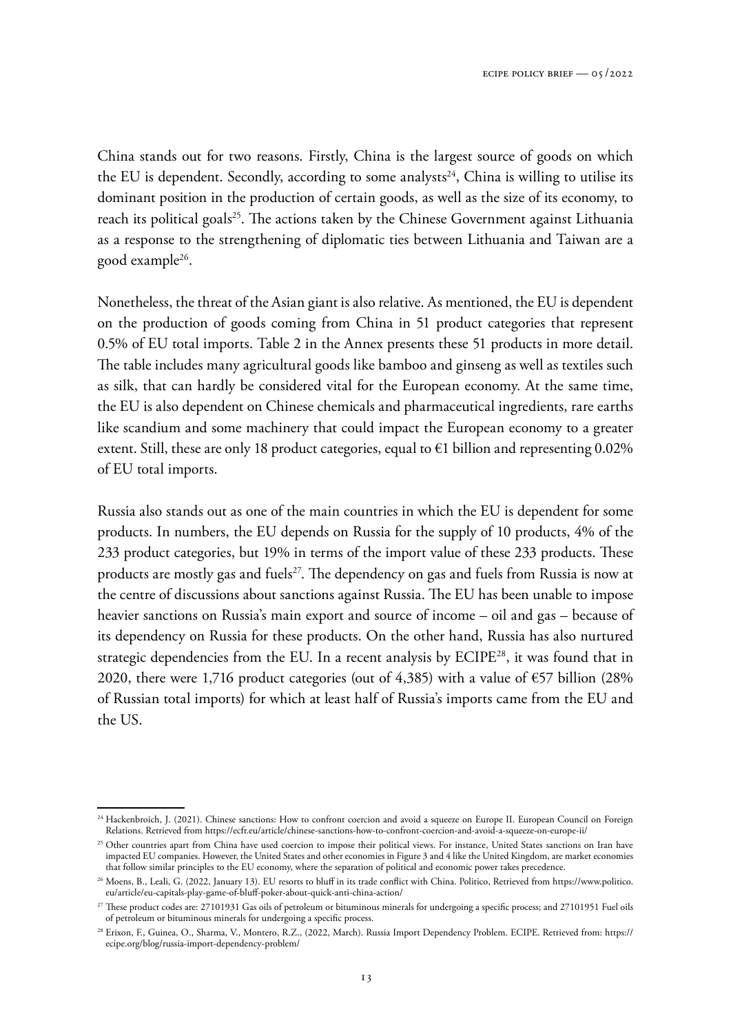China stands out for two reasons. Firstly, China is the largest source of goods on which the EU is dependent. Secondly, according to some analysts<sup>24</sup>, China is willing to utilise its dominant position in the production of certain goods, as well as the size of its economy, to reach its political goals<sup>25</sup>. The actions taken by the Chinese Government against Lithuania as a response to the strengthening of diplomatic ties between Lithuania and Taiwan are a good example<sup>26</sup> .

Nonetheless, the threat of the Asian giant is also relative. As mentioned, the EU is dependent on the production of goods coming from China in 51 product categories that represent 0.5% of EU total imports. Table 2 in the Annex presents these 51 products in more detail. The table includes many agricultural goods like bamboo and ginseng as well as textiles such as silk, that can hardly be considered vital for the European economy. At the same time, the EU is also dependent on Chinese chemicals and pharmaceutical ingredients, rare earths like scandium and some machinery that could impact the European economy to a greater extent. Still, these are only 18 product categories, equal to  $\epsilon$ 1 billion and representing 0.02% of EU total imports.

Russia also stands out as one of the main countries in which the EU is dependent for some products. In numbers, the EU depends on Russia for the supply of 10 products, 4% of the 233 product categories, but 19% in terms of the import value of these 233 products. These products are mostly gas and fuels<sup>27</sup>. The dependency on gas and fuels from Russia is now at the centre of discussions about sanctions against Russia. The EU has been unable to impose heavier sanctions on Russia's main export and source of income – oil and gas – because of its dependency on Russia for these products. On the other hand, Russia has also nurtured strategic dependencies from the EU. In a recent analysis by ECIPE<sup>28</sup>, it was found that in 2020, there were 1,716 product categories (out of 4,385) with a value of  $\epsilon$ 57 billion (28% of Russian total imports) for which at least half of Russia's imports came from the EU and the US.

<sup>&</sup>lt;sup>24</sup> Hackenbroich, J. (2021). Chinese sanctions: How to confront coercion and avoid a squeeze on Europe II. European Council on Foreign Relations. Retrieved from <https://ecfr.eu/article/chinese-sanctions-how-to-confront-coercion-and-avoid-a-squeeze-on-europe-ii/>

<sup>&</sup>lt;sup>25</sup> Other countries apart from China have used coercion to impose their political views. For instance, United States sanctions on Iran have impacted EU companies. However, the United States and other economies in Figure 3 and 4 like the United Kingdom, are market economies that follow similar principles to the EU economy, where the separation of political and economic power takes precedence.

<sup>26</sup> Moens, B., Leali, G. (2022, January 13). EU resorts to bluff in its trade conflict with China. Politico, Retrieved from [https://www.politico.](https://www.politico.eu/article/eu-capitals-play-game-of-bluff-poker-about-quick-anti-china-action/) [eu/article/eu-capitals-play-game-of-bluff-poker-about-quick-anti-china-action/](https://www.politico.eu/article/eu-capitals-play-game-of-bluff-poker-about-quick-anti-china-action/)

<sup>&</sup>lt;sup>27</sup> These product codes are: 27101931 Gas oils of petroleum or bituminous minerals for undergoing a specific process; and 27101951 Fuel oils of petroleum or bituminous minerals for undergoing a specific process.

<sup>28</sup> Erixon, F., Guinea, O., Sharma, V., Montero, R.Z., (2022, March). Russia Import Dependency Problem. ECIPE. Retrieved from: [https://](https://ecipe.org/blog/russia-import-dependency-problem/) [ecipe.org/blog/russia-import-dependency-problem/](https://ecipe.org/blog/russia-import-dependency-problem/)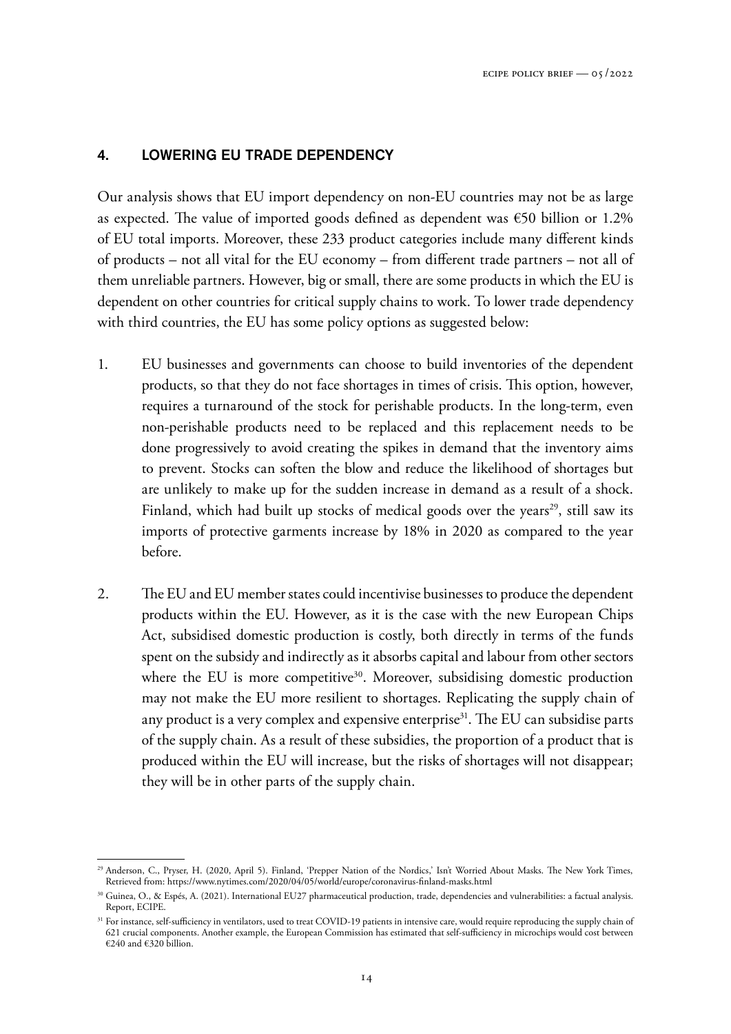#### 4. LOWERING EU TRADE DEPENDENCY

Our analysis shows that EU import dependency on non-EU countries may not be as large as expected. The value of imported goods defined as dependent was  $\epsilon$ 50 billion or 1.2% of EU total imports. Moreover, these 233 product categories include many different kinds of products – not all vital for the EU economy – from different trade partners – not all of them unreliable partners. However, big or small, there are some products in which the EU is dependent on other countries for critical supply chains to work. To lower trade dependency with third countries, the EU has some policy options as suggested below:

- 1. EU businesses and governments can choose to build inventories of the dependent products, so that they do not face shortages in times of crisis. This option, however, requires a turnaround of the stock for perishable products. In the long-term, even non-perishable products need to be replaced and this replacement needs to be done progressively to avoid creating the spikes in demand that the inventory aims to prevent. Stocks can soften the blow and reduce the likelihood of shortages but are unlikely to make up for the sudden increase in demand as a result of a shock. Finland, which had built up stocks of medical goods over the years<sup>29</sup>, still saw its imports of protective garments increase by 18% in 2020 as compared to the year before.
- 2. The EU and EU member states could incentivise businesses to produce the dependent products within the EU. However, as it is the case with the new European Chips Act, subsidised domestic production is costly, both directly in terms of the funds spent on the subsidy and indirectly as it absorbs capital and labour from other sectors where the EU is more competitive<sup>30</sup>. Moreover, subsidising domestic production may not make the EU more resilient to shortages. Replicating the supply chain of any product is a very complex and expensive enterprise<sup>31</sup>. The EU can subsidise parts of the supply chain. As a result of these subsidies, the proportion of a product that is produced within the EU will increase, but the risks of shortages will not disappear; they will be in other parts of the supply chain.

<sup>29</sup> Anderson, C., Pryser, H. (2020, April 5). Finland, 'Prepper Nation of the Nordics,' Isn't Worried About Masks. The New York Times, Retrieved from:<https://www.nytimes.com/2020/04/05/world/europe/coronavirus-finland-masks.html>

<sup>30</sup> Guinea, O., & Espés, A. (2021). International EU27 pharmaceutical production, trade, dependencies and vulnerabilities: a factual analysis. Report, ECIPE.

<sup>31</sup> For instance, self-sufficiency in ventilators, used to treat COVID-19 patients in intensive care, would require reproducing the supply chain of 621 crucial components. Another example, the European Commission has estimated that self-sufficiency in microchips would cost between  $€240$  and  $€320$  billion.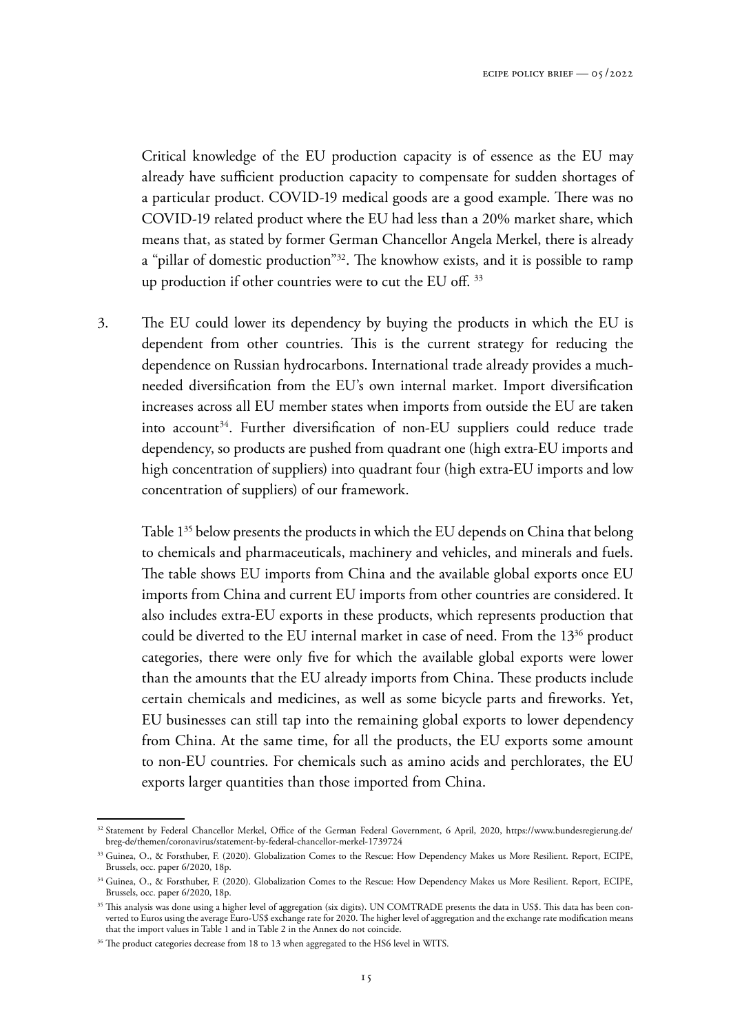Critical knowledge of the EU production capacity is of essence as the EU may already have sufficient production capacity to compensate for sudden shortages of a particular product. COVID-19 medical goods are a good example. There was no COVID-19 related product where the EU had less than a 20% market share, which means that, as stated by former German Chancellor Angela Merkel, there is already a "pillar of domestic production"<sup>32</sup>. The knowhow exists, and it is possible to ramp up production if other countries were to cut the EU off. <sup>33</sup>

3. The EU could lower its dependency by buying the products in which the EU is dependent from other countries. This is the current strategy for reducing the dependence on Russian hydrocarbons. International trade already provides a muchneeded diversification from the EU's own internal market. Import diversification increases across all EU member states when imports from outside the EU are taken into account<sup>34</sup>. Further diversification of non-EU suppliers could reduce trade dependency, so products are pushed from quadrant one (high extra-EU imports and high concentration of suppliers) into quadrant four (high extra-EU imports and low concentration of suppliers) of our framework.

 Table 1<sup>35</sup> below presents the products in which the EU depends on China that belong to chemicals and pharmaceuticals, machinery and vehicles, and minerals and fuels. The table shows EU imports from China and the available global exports once EU imports from China and current EU imports from other countries are considered. It also includes extra-EU exports in these products, which represents production that could be diverted to the EU internal market in case of need. From the 13<sup>36</sup> product categories, there were only five for which the available global exports were lower than the amounts that the EU already imports from China. These products include certain chemicals and medicines, as well as some bicycle parts and fireworks. Yet, EU businesses can still tap into the remaining global exports to lower dependency from China. At the same time, for all the products, the EU exports some amount to non-EU countries. For chemicals such as amino acids and perchlorates, the EU exports larger quantities than those imported from China.

<sup>&</sup>lt;sup>32</sup> Statement by Federal Chancellor Merkel, Office of the German Federal Government, 6 April, 2020, [https://www.bundesregierung.de/](https://www.bundesregierung.de/breg-de/themen/coronavirus/statement-by-federal-chancellor-merkel-1739724) [breg-de/themen/coronavirus/statement-by-federal-chancellor-merkel-1739724](https://www.bundesregierung.de/breg-de/themen/coronavirus/statement-by-federal-chancellor-merkel-1739724)

<sup>33</sup> Guinea, O., & Forsthuber, F. (2020). Globalization Comes to the Rescue: How Dependency Makes us More Resilient. Report, ECIPE, Brussels, occ. paper 6/2020, 18p.

<sup>&</sup>lt;sup>34</sup> Guinea, O., & Forsthuber, F. (2020). Globalization Comes to the Rescue: How Dependency Makes us More Resilient. Report, ECIPE, Brussels, occ. paper 6/2020, 18p.

<sup>&</sup>lt;sup>35</sup> This analysis was done using a higher level of aggregation (six digits). UN COMTRADE presents the data in US\$. This data has been converted to Euros using the average Euro-US\$ exchange rate for 2020. The higher level of aggregation and the exchange rate modification means that the import values in Table 1 and in Table 2 in the Annex do not coincide.

<sup>&</sup>lt;sup>36</sup> The product categories decrease from 18 to 13 when aggregated to the HS6 level in WITS.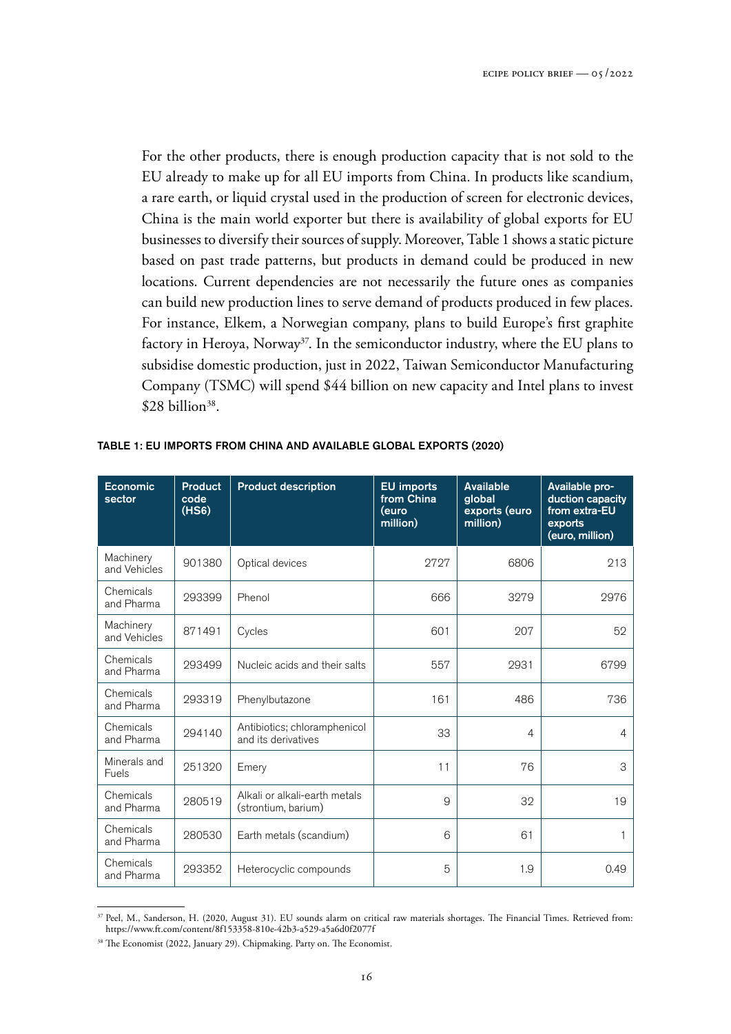For the other products, there is enough production capacity that is not sold to the EU already to make up for all EU imports from China. In products like scandium, a rare earth, or liquid crystal used in the production of screen for electronic devices, China is the main world exporter but there is availability of global exports for EU businesses to diversify their sources of supply. Moreover, Table 1 shows a static picture based on past trade patterns, but products in demand could be produced in new locations. Current dependencies are not necessarily the future ones as companies can build new production lines to serve demand of products produced in few places. For instance, Elkem, a Norwegian company, plans to build Europe's first graphite factory in Heroya, Norway<sup>37</sup>. In the semiconductor industry, where the EU plans to subsidise domestic production, just in 2022, Taiwan Semiconductor Manufacturing Company (TSMC) will spend \$44 billion on new capacity and Intel plans to invest  $$28 billion<sup>38</sup>$ .

| Economic<br>sector        | <b>Product</b><br>code<br>(HS6) | <b>Product description</b>                           | <b>EU</b> imports<br>from China<br>euro)<br>million) | <b>Available</b><br>global<br>exports (euro<br>million) | Available pro-<br>duction capacity<br>from extra-EU<br>exports<br>(euro, million) |
|---------------------------|---------------------------------|------------------------------------------------------|------------------------------------------------------|---------------------------------------------------------|-----------------------------------------------------------------------------------|
| Machinery<br>and Vehicles | 901380                          | Optical devices                                      | 2727                                                 | 6806                                                    | 213                                                                               |
| Chemicals<br>and Pharma   | 293399                          | Phenol                                               | 666                                                  | 3279                                                    | 2976                                                                              |
| Machinery<br>and Vehicles | 871491                          | Cycles                                               | 601                                                  | 207                                                     | 52                                                                                |
| Chemicals<br>and Pharma   | 293499                          | Nucleic acids and their salts                        | 557                                                  | 2931                                                    | 6799                                                                              |
| Chemicals<br>and Pharma   | 293319                          | Phenylbutazone                                       | 161                                                  | 486                                                     | 736                                                                               |
| Chemicals<br>and Pharma   | 294140                          | Antibiotics; chloramphenicol<br>and its derivatives  | 33                                                   | 4                                                       | $\overline{4}$                                                                    |
| Minerals and<br>Fuels     | 251320                          | Emery                                                | 11                                                   | 76                                                      | 3                                                                                 |
| Chemicals<br>and Pharma   | 280519                          | Alkali or alkali-earth metals<br>(strontium, barium) | 9                                                    | 32                                                      | 19                                                                                |
| Chemicals<br>and Pharma   | 280530                          | Earth metals (scandium)                              | 6                                                    | 61                                                      | 1                                                                                 |
| Chemicals<br>and Pharma   | 293352                          | Heterocyclic compounds                               | 5                                                    | 1.9                                                     | 0.49                                                                              |

#### TABLE 1: EU IMPORTS FROM CHINA AND AVAILABLE GLOBAL EXPORTS (2020)

<sup>&</sup>lt;sup>37</sup> Peel, M., Sanderson, H. (2020, August 31). EU sounds alarm on critical raw materials shortages. The Financial Times. Retrieved from: [https://www.ft.com/content/8f153358-810e-42b3-a529-a5a6d0f2077f](https://www.ft.com/content/8f153358-810e-42b3-a529-a5a6d0f2077f ) 

<sup>38</sup> The Economist (2022, January 29). Chipmaking. Party on. The Economist.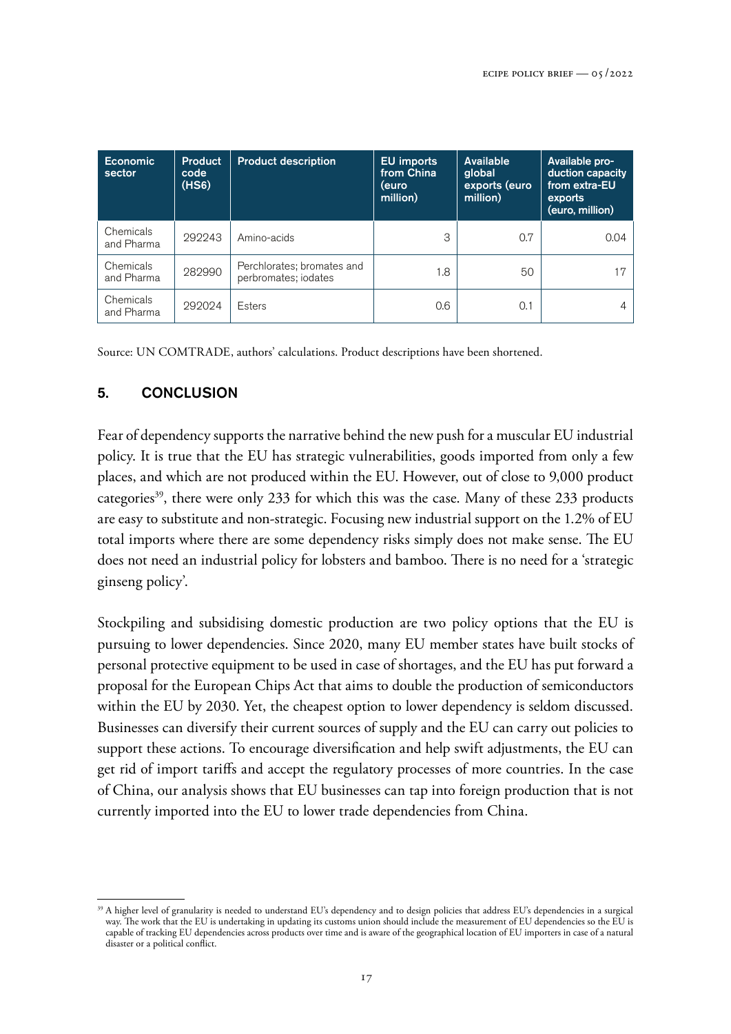| <b>Economic</b><br>sector | <b>Product</b><br>code<br>(HS6) | <b>Product description</b>                         | <b>EU</b> imports<br>from China<br>(euro<br>million) | Available<br>global<br>exports (euro<br>million) | Available pro-<br>duction capacity<br>from extra-EU<br>exports<br>(euro, million) |
|---------------------------|---------------------------------|----------------------------------------------------|------------------------------------------------------|--------------------------------------------------|-----------------------------------------------------------------------------------|
| Chemicals<br>and Pharma   | 292243                          | Amino-acids                                        | 3                                                    | 0.7                                              | 0.04                                                                              |
| Chemicals<br>and Pharma   | 282990                          | Perchlorates; bromates and<br>perbromates; iodates | 1.8                                                  | 50                                               | 17                                                                                |
| Chemicals<br>and Pharma   | 292024                          | Esters                                             | 0.6                                                  | 0.1                                              | 4                                                                                 |

Source: UN COMTRADE, authors' calculations. Product descriptions have been shortened.

## 5. CONCLUSION

Fear of dependency supports the narrative behind the new push for a muscular EU industrial policy. It is true that the EU has strategic vulnerabilities, goods imported from only a few places, and which are not produced within the EU. However, out of close to 9,000 product categories<sup>39</sup>, there were only 233 for which this was the case. Many of these 233 products are easy to substitute and non-strategic. Focusing new industrial support on the 1.2% of EU total imports where there are some dependency risks simply does not make sense. The EU does not need an industrial policy for lobsters and bamboo. There is no need for a 'strategic ginseng policy'.

Stockpiling and subsidising domestic production are two policy options that the EU is pursuing to lower dependencies. Since 2020, many EU member states have built stocks of personal protective equipment to be used in case of shortages, and the EU has put forward a proposal for the European Chips Act that aims to double the production of semiconductors within the EU by 2030. Yet, the cheapest option to lower dependency is seldom discussed. Businesses can diversify their current sources of supply and the EU can carry out policies to support these actions. To encourage diversification and help swift adjustments, the EU can get rid of import tariffs and accept the regulatory processes of more countries. In the case of China, our analysis shows that EU businesses can tap into foreign production that is not currently imported into the EU to lower trade dependencies from China.

<sup>&</sup>lt;sup>39</sup> A higher level of granularity is needed to understand EU's dependency and to design policies that address EU's dependencies in a surgical way. The work that the EU is undertaking in updating its customs union should include the measurement of EU dependencies so the EU is capable of tracking EU dependencies across products over time and is aware of the geographical location of EU importers in case of a natural disaster or a political conflict.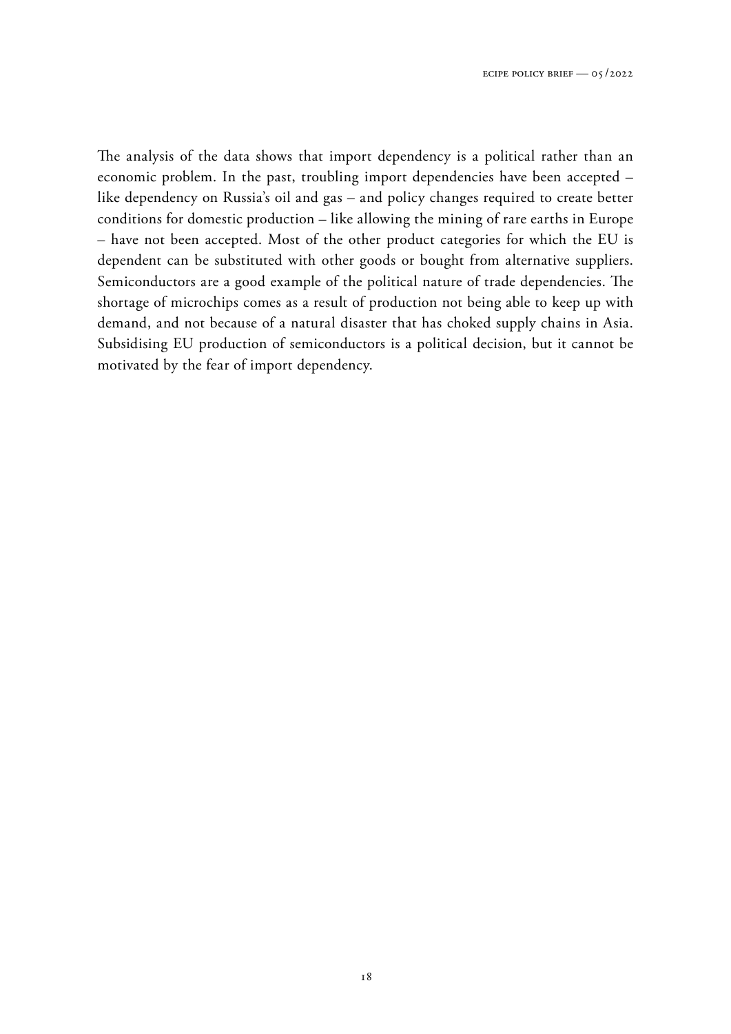The analysis of the data shows that import dependency is a political rather than an economic problem. In the past, troubling import dependencies have been accepted – like dependency on Russia's oil and gas – and policy changes required to create better conditions for domestic production – like allowing the mining of rare earths in Europe – have not been accepted. Most of the other product categories for which the EU is dependent can be substituted with other goods or bought from alternative suppliers. Semiconductors are a good example of the political nature of trade dependencies. The shortage of microchips comes as a result of production not being able to keep up with demand, and not because of a natural disaster that has choked supply chains in Asia. Subsidising EU production of semiconductors is a political decision, but it cannot be motivated by the fear of import dependency.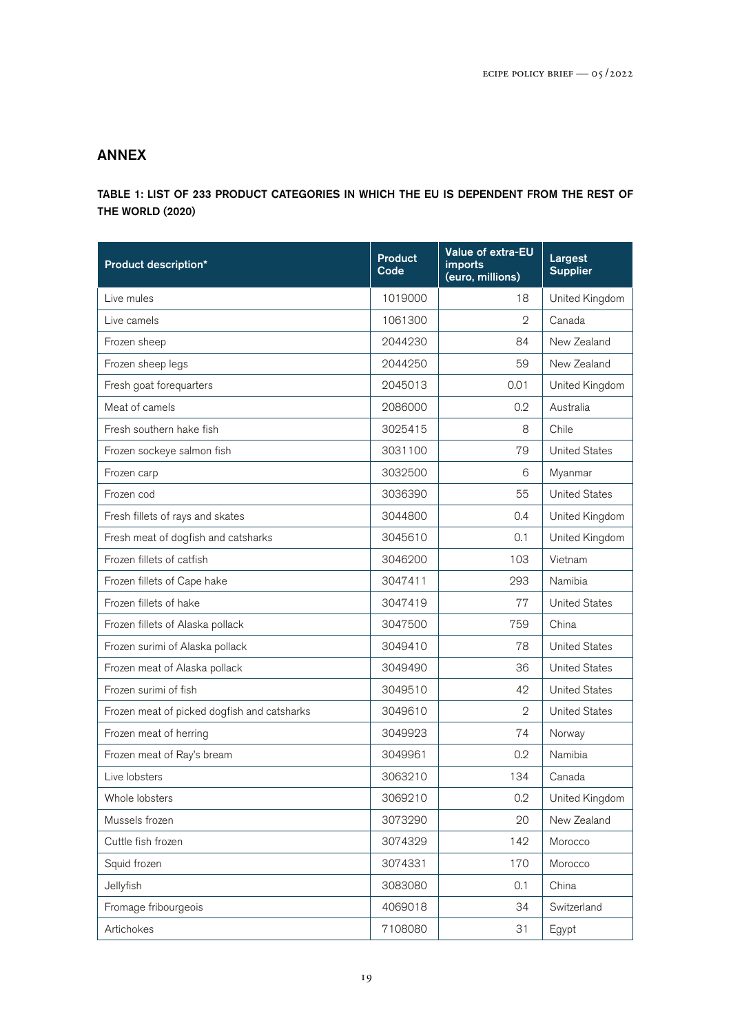## ANNEX

TABLE 1: LIST OF 233 PRODUCT CATEGORIES IN WHICH THE EU IS DEPENDENT FROM THE REST OF THE WORLD (2020)

| <b>Product description*</b>                 | <b>Product</b><br>Code | Value of extra-EU<br><i>imports</i><br>(euro, millions) | Largest<br><b>Supplier</b> |
|---------------------------------------------|------------------------|---------------------------------------------------------|----------------------------|
| Live mules                                  | 1019000                | 18                                                      | United Kingdom             |
| Live camels                                 | 1061300                | $\overline{2}$                                          | Canada                     |
| Frozen sheep                                | 2044230                | 84                                                      | New Zealand                |
| Frozen sheep legs                           | 2044250                | 59                                                      | New Zealand                |
| Fresh goat forequarters                     | 2045013                | 0.01                                                    | United Kingdom             |
| Meat of camels                              | 2086000                | 0.2                                                     | Australia                  |
| Fresh southern hake fish                    | 3025415                | 8                                                       | Chile                      |
| Frozen sockeye salmon fish                  | 3031100                | 79                                                      | <b>United States</b>       |
| Frozen carp                                 | 3032500                | 6                                                       | Myanmar                    |
| Frozen cod                                  | 3036390                | 55                                                      | <b>United States</b>       |
| Fresh fillets of rays and skates            | 3044800                | 0.4                                                     | United Kingdom             |
| Fresh meat of dogfish and catsharks         | 3045610                | 0.1                                                     | United Kingdom             |
| Frozen fillets of catfish                   | 3046200                | 103                                                     | Vietnam                    |
| Frozen fillets of Cape hake                 | 3047411                | 293                                                     | Namibia                    |
| Frozen fillets of hake                      | 3047419                | 77                                                      | <b>United States</b>       |
| Frozen fillets of Alaska pollack            | 3047500                | 759                                                     | China                      |
| Frozen surimi of Alaska pollack             | 3049410                | 78                                                      | <b>United States</b>       |
| Frozen meat of Alaska pollack               | 3049490                | 36                                                      | <b>United States</b>       |
| Frozen surimi of fish                       | 3049510                | 42                                                      | <b>United States</b>       |
| Frozen meat of picked dogfish and catsharks | 3049610                | $\mathfrak{D}$                                          | <b>United States</b>       |
| Frozen meat of herring                      | 3049923                | 74                                                      | Norway                     |
| Frozen meat of Ray's bream                  | 3049961                | 0.2                                                     | Namibia                    |
| Live lobsters                               | 3063210                | 134                                                     | Canada                     |
| Whole lobsters                              | 3069210                | 0.2                                                     | United Kingdom             |
| Mussels frozen                              | 3073290                | 20                                                      | New Zealand                |
| Cuttle fish frozen                          | 3074329                | 142                                                     | Morocco                    |
| Squid frozen                                | 3074331                | 170                                                     | Morocco                    |
| Jellyfish                                   | 3083080                | 0.1                                                     | China                      |
| Fromage fribourgeois                        | 4069018                | 34                                                      | Switzerland                |
| Artichokes                                  | 7108080                | 31                                                      | Egypt                      |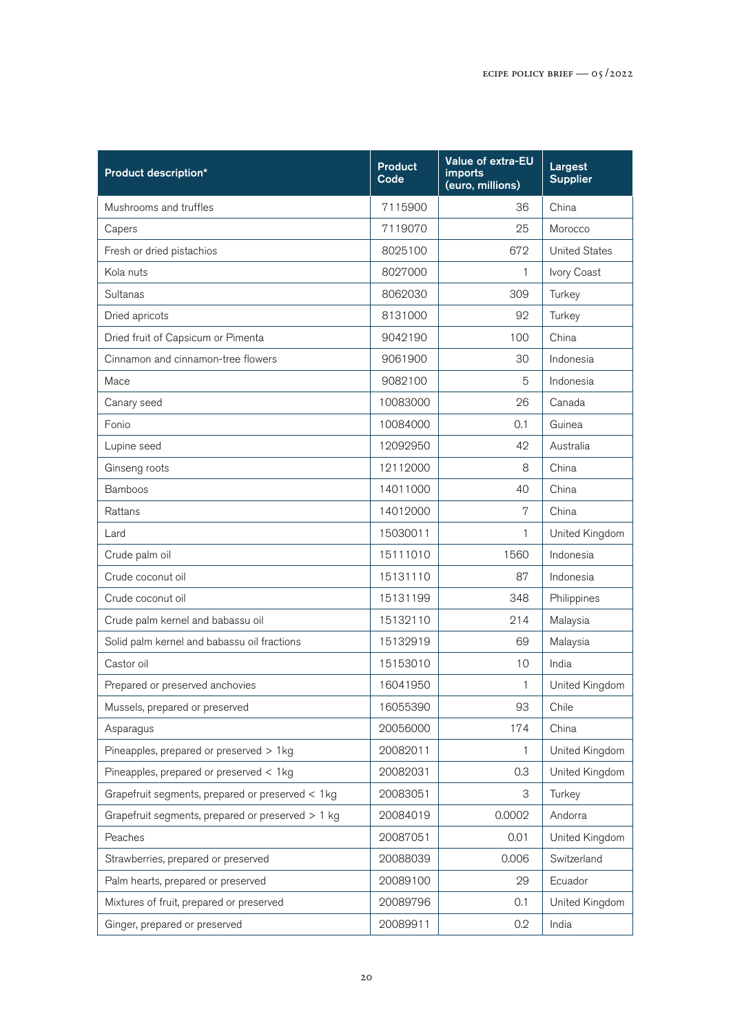| <b>Product description*</b>                       | <b>Product</b><br>Code | Value of extra-EU<br>imports<br>(euro, millions) | Largest<br><b>Supplier</b> |
|---------------------------------------------------|------------------------|--------------------------------------------------|----------------------------|
| Mushrooms and truffles                            | 7115900                | 36                                               | China                      |
| Capers                                            | 7119070                | 25                                               | Morocco                    |
| Fresh or dried pistachios                         | 8025100                | 672                                              | <b>United States</b>       |
| Kola nuts                                         | 8027000                | 1                                                | Ivory Coast                |
| Sultanas                                          | 8062030                | 309                                              | Turkey                     |
| Dried apricots                                    | 8131000                | 92                                               | Turkey                     |
| Dried fruit of Capsicum or Pimenta                | 9042190                | 100                                              | China                      |
| Cinnamon and cinnamon-tree flowers                | 9061900                | 30                                               | Indonesia                  |
| Mace                                              | 9082100                | 5                                                | Indonesia                  |
| Canary seed                                       | 10083000               | 26                                               | Canada                     |
| Fonio                                             | 10084000               | 0.1                                              | Guinea                     |
| Lupine seed                                       | 12092950               | 42                                               | Australia                  |
| Ginseng roots                                     | 12112000               | 8                                                | China                      |
| <b>Bamboos</b>                                    | 14011000               | 40                                               | China                      |
| Rattans                                           | 14012000               | 7                                                | China                      |
| Lard                                              | 15030011               | 1                                                | United Kingdom             |
| Crude palm oil                                    | 15111010               | 1560                                             | Indonesia                  |
| Crude coconut oil                                 | 15131110               | 87                                               | Indonesia                  |
| Crude coconut oil                                 | 15131199               | 348                                              | Philippines                |
| Crude palm kernel and babassu oil                 | 15132110               | 214                                              | Malaysia                   |
| Solid palm kernel and babassu oil fractions       | 15132919               | 69                                               | Malaysia                   |
| Castor oil                                        | 15153010               | 10                                               | India                      |
| Prepared or preserved anchovies                   | 16041950               | 1                                                | United Kingdom             |
| Mussels, prepared or preserved                    | 16055390               | 93                                               | Chile                      |
| Asparagus                                         | 20056000               | 174                                              | China                      |
| Pineapples, prepared or preserved > 1kg           | 20082011               | 1                                                | United Kingdom             |
| Pineapples, prepared or preserved < 1kg           | 20082031               | 0.3                                              | United Kingdom             |
| Grapefruit segments, prepared or preserved < 1kg  | 20083051               | 3                                                | Turkey                     |
| Grapefruit segments, prepared or preserved > 1 kg | 20084019               | 0.0002                                           | Andorra                    |
| Peaches                                           | 20087051               | 0.01                                             | United Kingdom             |
| Strawberries, prepared or preserved               | 20088039               | 0.006                                            | Switzerland                |
| Palm hearts, prepared or preserved                | 20089100               | 29                                               | Ecuador                    |
| Mixtures of fruit, prepared or preserved          | 20089796               | 0.1                                              | United Kingdom             |
| Ginger, prepared or preserved                     | 20089911               | 0.2                                              | India                      |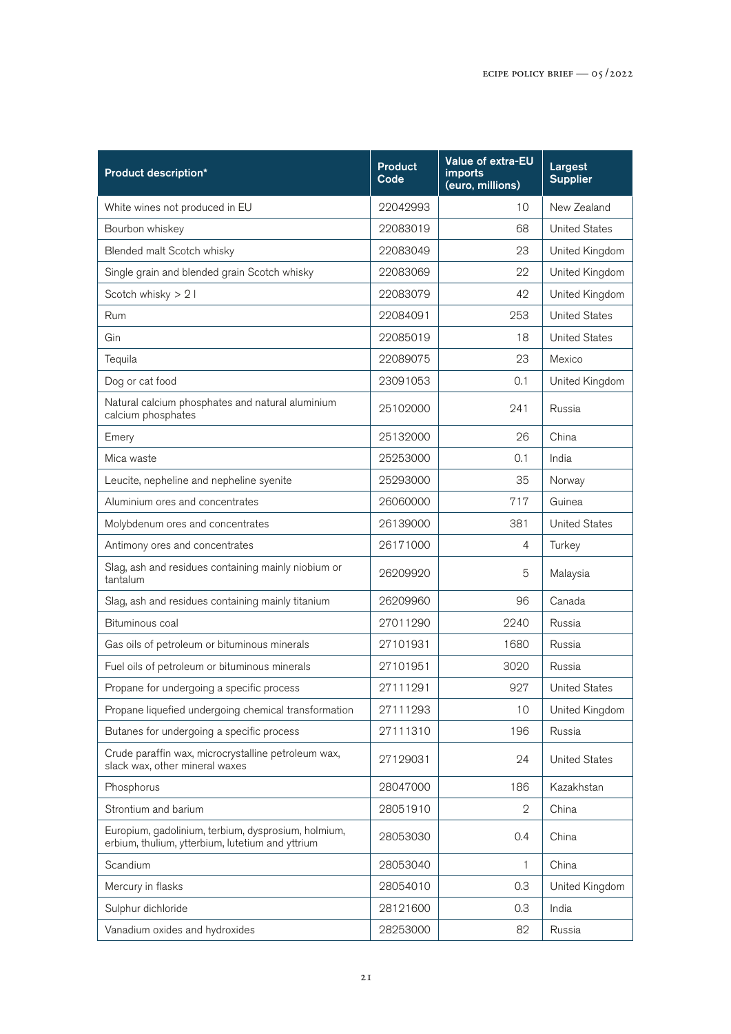| <b>Product description*</b>                                                                             | <b>Product</b><br>Code | <b>Value of extra-EU</b><br><i>imports</i><br>(euro, millions) | Largest<br><b>Supplier</b> |
|---------------------------------------------------------------------------------------------------------|------------------------|----------------------------------------------------------------|----------------------------|
| White wines not produced in EU                                                                          | 22042993               | 10                                                             | New Zealand                |
| Bourbon whiskey                                                                                         | 22083019               | 68                                                             | <b>United States</b>       |
| Blended malt Scotch whisky                                                                              | 22083049               | 23                                                             | United Kingdom             |
| Single grain and blended grain Scotch whisky                                                            | 22083069               | 22                                                             | United Kingdom             |
| Scotch whisky > 2 l                                                                                     | 22083079               | 42                                                             | United Kingdom             |
| <b>Rum</b>                                                                                              | 22084091               | 253                                                            | <b>United States</b>       |
| Gin                                                                                                     | 22085019               | 18                                                             | <b>United States</b>       |
| Tequila                                                                                                 | 22089075               | 23                                                             | Mexico                     |
| Dog or cat food                                                                                         | 23091053               | 0.1                                                            | United Kingdom             |
| Natural calcium phosphates and natural aluminium<br>calcium phosphates                                  | 25102000               | 241                                                            | Russia                     |
| Emery                                                                                                   | 25132000               | 26                                                             | China                      |
| Mica waste                                                                                              | 25253000               | 0.1                                                            | India                      |
| Leucite, nepheline and nepheline syenite                                                                | 25293000               | 35                                                             | Norway                     |
| Aluminium ores and concentrates                                                                         | 26060000               | 717                                                            | Guinea                     |
| Molybdenum ores and concentrates                                                                        | 26139000               | 381                                                            | <b>United States</b>       |
| Antimony ores and concentrates                                                                          | 26171000               | 4                                                              | Turkey                     |
| Slag, ash and residues containing mainly niobium or<br>tantalum                                         | 26209920               | 5                                                              | Malaysia                   |
| Slag, ash and residues containing mainly titanium                                                       | 26209960               | 96                                                             | Canada                     |
| Bituminous coal                                                                                         | 27011290               | 2240                                                           | Russia                     |
| Gas oils of petroleum or bituminous minerals                                                            | 27101931               | 1680                                                           | Russia                     |
| Fuel oils of petroleum or bituminous minerals                                                           | 27101951               | 3020                                                           | Russia                     |
| Propane for undergoing a specific process                                                               | 27111291               | 927                                                            | <b>United States</b>       |
| Propane liquefied undergoing chemical transformation                                                    | 27111293               | 10                                                             | United Kingdom             |
| Butanes for undergoing a specific process                                                               | 27111310               | 196                                                            | Russia                     |
| Crude paraffin wax, microcrystalline petroleum wax,<br>slack wax, other mineral waxes                   | 27129031               | 24                                                             | <b>United States</b>       |
| Phosphorus                                                                                              | 28047000               | 186                                                            | Kazakhstan                 |
| Strontium and barium                                                                                    | 28051910               | $\mathbf{2}$                                                   | China                      |
| Europium, gadolinium, terbium, dysprosium, holmium,<br>erbium, thulium, ytterbium, lutetium and yttrium | 28053030               | 0.4                                                            | China                      |
| Scandium                                                                                                | 28053040               | 1                                                              | China                      |
| Mercury in flasks                                                                                       | 28054010               | 0.3                                                            | United Kingdom             |
| Sulphur dichloride                                                                                      | 28121600               | 0.3                                                            | India                      |
| Vanadium oxides and hydroxides                                                                          | 28253000               | 82                                                             | Russia                     |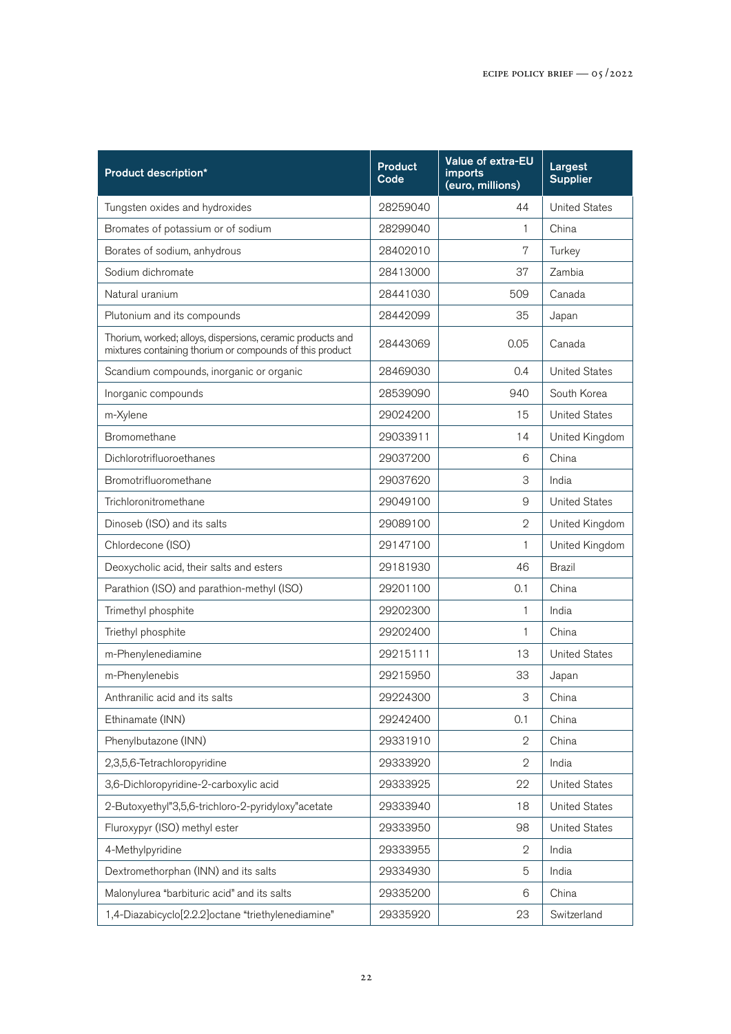| <b>Product description*</b>                                                                                            | <b>Product</b><br>Code | Value of extra-EU<br>imports<br>(euro, millions) | Largest<br><b>Supplier</b> |
|------------------------------------------------------------------------------------------------------------------------|------------------------|--------------------------------------------------|----------------------------|
| Tungsten oxides and hydroxides                                                                                         | 28259040               | 44                                               | <b>United States</b>       |
| Bromates of potassium or of sodium                                                                                     | 28299040               | 1                                                | China                      |
| Borates of sodium, anhydrous                                                                                           | 28402010               | 7                                                | Turkey                     |
| Sodium dichromate                                                                                                      | 28413000               | 37                                               | Zambia                     |
| Natural uranium                                                                                                        | 28441030               | 509                                              | Canada                     |
| Plutonium and its compounds                                                                                            | 28442099               | 35                                               | Japan                      |
| Thorium, worked; alloys, dispersions, ceramic products and<br>mixtures containing thorium or compounds of this product | 28443069               | 0.05                                             | Canada                     |
| Scandium compounds, inorganic or organic                                                                               | 28469030               | 0.4                                              | <b>United States</b>       |
| Inorganic compounds                                                                                                    | 28539090               | 940                                              | South Korea                |
| m-Xylene                                                                                                               | 29024200               | 15                                               | <b>United States</b>       |
| Bromomethane                                                                                                           | 29033911               | 14                                               | United Kingdom             |
| Dichlorotrifluoroethanes                                                                                               | 29037200               | 6                                                | China                      |
| Bromotrifluoromethane                                                                                                  | 29037620               | 3                                                | India                      |
| Trichloronitromethane                                                                                                  | 29049100               | $\mathsf g$                                      | <b>United States</b>       |
| Dinoseb (ISO) and its salts                                                                                            | 29089100               | $\mathfrak{D}$                                   | United Kingdom             |
| Chlordecone (ISO)                                                                                                      | 29147100               | 1                                                | United Kingdom             |
| Deoxycholic acid, their salts and esters                                                                               | 29181930               | 46                                               | <b>Brazil</b>              |
| Parathion (ISO) and parathion-methyl (ISO)                                                                             | 29201100               | 0.1                                              | China                      |
| Trimethyl phosphite                                                                                                    | 29202300               | 1                                                | India                      |
| Triethyl phosphite                                                                                                     | 29202400               | 1                                                | China                      |
| m-Phenylenediamine                                                                                                     | 29215111               | 13                                               | <b>United States</b>       |
| m-Phenylenebis                                                                                                         | 29215950               | 33                                               | Japan                      |
| Anthranilic acid and its salts                                                                                         | 29224300               | 3                                                | China                      |
| Ethinamate (INN)                                                                                                       | 29242400               | 0.1                                              | China                      |
| Phenylbutazone (INN)                                                                                                   | 29331910               | 2                                                | China                      |
| 2,3,5,6-Tetrachloropyridine                                                                                            | 29333920               | $\mathbf 2$                                      | India                      |
| 3,6-Dichloropyridine-2-carboxylic acid                                                                                 | 29333925               | 22                                               | <b>United States</b>       |
| 2-Butoxyethyl"3,5,6-trichloro-2-pyridyloxy"acetate                                                                     | 29333940               | 18                                               | <b>United States</b>       |
| Fluroxypyr (ISO) methyl ester                                                                                          | 29333950               | 98                                               | <b>United States</b>       |
| 4-Methylpyridine                                                                                                       | 29333955               | $\mathbf 2$                                      | India                      |
| Dextromethorphan (INN) and its salts                                                                                   | 29334930               | 5                                                | India                      |
| Malonylurea "barbituric acid" and its salts                                                                            | 29335200               | 6                                                | China                      |
| 1,4-Diazabicyclo[2.2.2]octane "triethylenediamine"                                                                     | 29335920               | 23                                               | Switzerland                |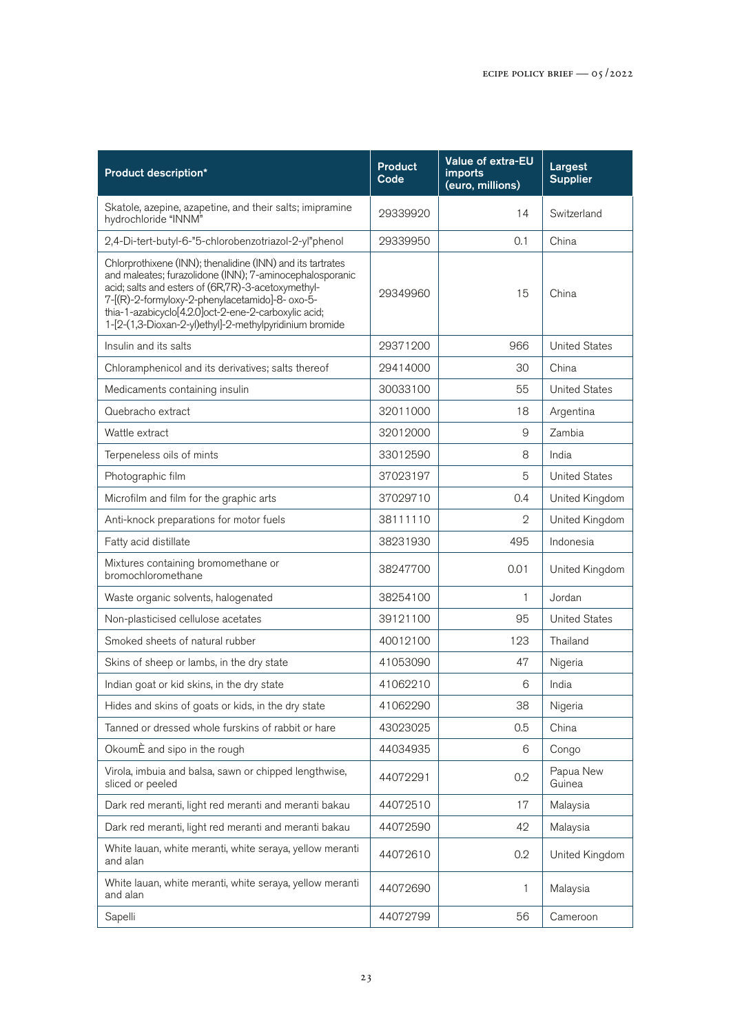| <b>Product description*</b>                                                                                                                                                                                                                                                                                                                        | <b>Product</b><br>Code | <b>Value of extra-EU</b><br>imports<br>(euro, millions) | Largest<br><b>Supplier</b> |
|----------------------------------------------------------------------------------------------------------------------------------------------------------------------------------------------------------------------------------------------------------------------------------------------------------------------------------------------------|------------------------|---------------------------------------------------------|----------------------------|
| Skatole, azepine, azapetine, and their salts; imipramine<br>hydrochloride "INNM"                                                                                                                                                                                                                                                                   | 29339920               | 14                                                      | Switzerland                |
| 2,4-Di-tert-butyl-6-"5-chlorobenzotriazol-2-yl"phenol                                                                                                                                                                                                                                                                                              | 29339950               | 0.1                                                     | China                      |
| Chlorprothixene (INN); thenalidine (INN) and its tartrates<br>and maleates; furazolidone (INN); 7-aminocephalosporanic<br>acid; salts and esters of (6R,7R)-3-acetoxymethyl-<br>7-[(R)-2-formyloxy-2-phenylacetamido]-8- oxo-5-<br>thia-1-azabicyclo[4.2.0]oct-2-ene-2-carboxylic acid;<br>1-[2-(1,3-Dioxan-2-yl)ethyl]-2-methylpyridinium bromide | 29349960               | 15                                                      | China                      |
| Insulin and its salts                                                                                                                                                                                                                                                                                                                              | 29371200               | 966                                                     | <b>United States</b>       |
| Chloramphenicol and its derivatives; salts thereof                                                                                                                                                                                                                                                                                                 | 29414000               | 30                                                      | China                      |
| Medicaments containing insulin                                                                                                                                                                                                                                                                                                                     | 30033100               | 55                                                      | <b>United States</b>       |
| Quebracho extract                                                                                                                                                                                                                                                                                                                                  | 32011000               | 18                                                      | Argentina                  |
| Wattle extract                                                                                                                                                                                                                                                                                                                                     | 32012000               | 9                                                       | Zambia                     |
| Terpeneless oils of mints                                                                                                                                                                                                                                                                                                                          | 33012590               | 8                                                       | India                      |
| Photographic film                                                                                                                                                                                                                                                                                                                                  | 37023197               | 5                                                       | <b>United States</b>       |
| Microfilm and film for the graphic arts                                                                                                                                                                                                                                                                                                            | 37029710               | 0.4                                                     | United Kingdom             |
| Anti-knock preparations for motor fuels                                                                                                                                                                                                                                                                                                            | 38111110               | $\mathbf{2}$                                            | United Kingdom             |
| Fatty acid distillate                                                                                                                                                                                                                                                                                                                              | 38231930               | 495                                                     | Indonesia                  |
| Mixtures containing bromomethane or<br>bromochloromethane                                                                                                                                                                                                                                                                                          | 38247700               | 0.01                                                    | United Kingdom             |
| Waste organic solvents, halogenated                                                                                                                                                                                                                                                                                                                | 38254100               | $\mathbf{1}$                                            | Jordan                     |
| Non-plasticised cellulose acetates                                                                                                                                                                                                                                                                                                                 | 39121100               | 95                                                      | <b>United States</b>       |
| Smoked sheets of natural rubber                                                                                                                                                                                                                                                                                                                    | 40012100               | 123                                                     | Thailand                   |
| Skins of sheep or lambs, in the dry state                                                                                                                                                                                                                                                                                                          | 41053090               | 47                                                      | Nigeria                    |
| Indian goat or kid skins, in the dry state                                                                                                                                                                                                                                                                                                         | 41062210               | 6                                                       | India                      |
| Hides and skins of goats or kids, in the dry state                                                                                                                                                                                                                                                                                                 | 41062290               | 38                                                      | Nigeria                    |
| Tanned or dressed whole furskins of rabbit or hare                                                                                                                                                                                                                                                                                                 | 43023025               | 0.5                                                     | China                      |
| OkoumÈ and sipo in the rough                                                                                                                                                                                                                                                                                                                       | 44034935               | 6                                                       | Congo                      |
| Virola, imbuia and balsa, sawn or chipped lengthwise,<br>sliced or peeled                                                                                                                                                                                                                                                                          | 44072291               | 0.2                                                     | Papua New<br>Guinea        |
| Dark red meranti, light red meranti and meranti bakau                                                                                                                                                                                                                                                                                              | 44072510               | 17                                                      | Malaysia                   |
| Dark red meranti, light red meranti and meranti bakau                                                                                                                                                                                                                                                                                              | 44072590               | 42                                                      | Malaysia                   |
| White lauan, white meranti, white seraya, yellow meranti<br>and alan                                                                                                                                                                                                                                                                               | 44072610               | 0.2                                                     | United Kingdom             |
| White lauan, white meranti, white seraya, yellow meranti<br>and alan                                                                                                                                                                                                                                                                               | 44072690               | 1                                                       | Malaysia                   |
| Sapelli                                                                                                                                                                                                                                                                                                                                            | 44072799               | 56                                                      | Cameroon                   |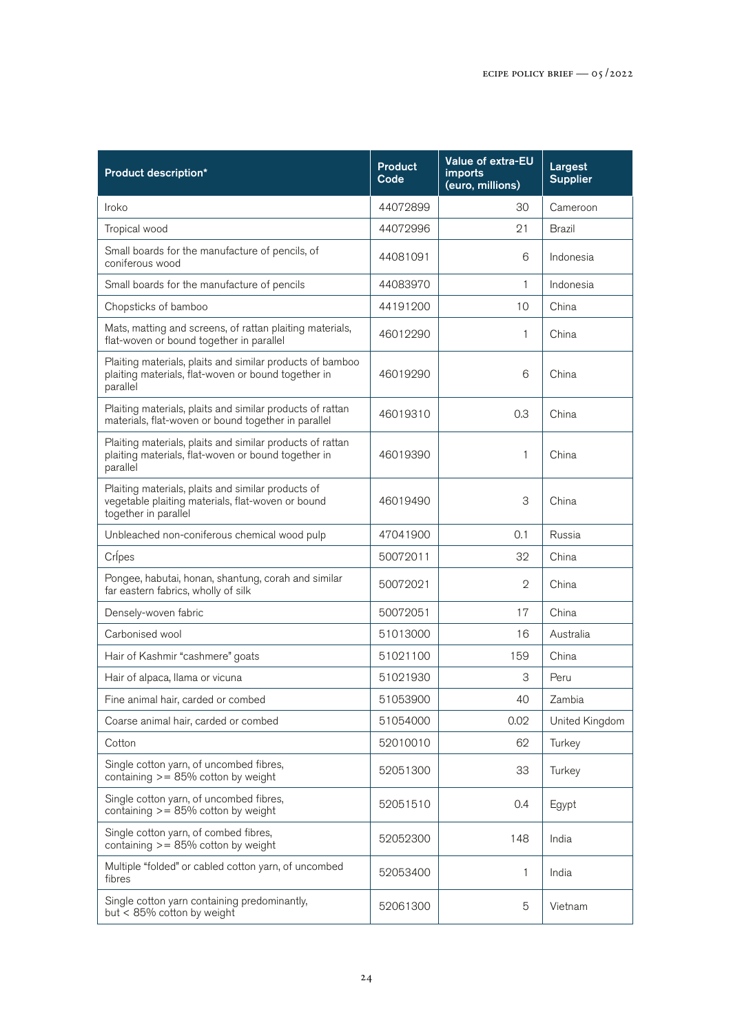| Product description*                                                                                                            | <b>Product</b><br>Code | <b>Value of extra-EU</b><br>imports<br>(euro, millions) | Largest<br><b>Supplier</b> |
|---------------------------------------------------------------------------------------------------------------------------------|------------------------|---------------------------------------------------------|----------------------------|
| Iroko                                                                                                                           | 44072899               | 30                                                      | Cameroon                   |
| Tropical wood                                                                                                                   | 44072996               | 21                                                      | Brazil                     |
| Small boards for the manufacture of pencils, of<br>coniferous wood                                                              | 44081091               | 6                                                       | Indonesia                  |
| Small boards for the manufacture of pencils                                                                                     | 44083970               | $\mathbf{1}$                                            | Indonesia                  |
| Chopsticks of bamboo                                                                                                            | 44191200               | 10                                                      | China                      |
| Mats, matting and screens, of rattan plaiting materials,<br>flat-woven or bound together in parallel                            | 46012290               | 1                                                       | China                      |
| Plaiting materials, plaits and similar products of bamboo<br>plaiting materials, flat-woven or bound together in<br>parallel    | 46019290               | 6                                                       | China                      |
| Plaiting materials, plaits and similar products of rattan<br>materials, flat-woven or bound together in parallel                | 46019310               | 0.3                                                     | China                      |
| Plaiting materials, plaits and similar products of rattan<br>plaiting materials, flat-woven or bound together in<br>parallel    | 46019390               | 1                                                       | China                      |
| Plaiting materials, plaits and similar products of<br>vegetable plaiting materials, flat-woven or bound<br>together in parallel | 46019490               | 3                                                       | China                      |
| Unbleached non-coniferous chemical wood pulp                                                                                    | 47041900               | 0.1                                                     | Russia                     |
| Crípes                                                                                                                          | 50072011               | 32                                                      | China                      |
| Pongee, habutai, honan, shantung, corah and similar<br>far eastern fabrics, wholly of silk                                      | 50072021               | 2                                                       | China                      |
| Densely-woven fabric                                                                                                            | 50072051               | 17                                                      | China                      |
| Carbonised wool                                                                                                                 | 51013000               | 16                                                      | Australia                  |
| Hair of Kashmir "cashmere" goats                                                                                                | 51021100               | 159                                                     | China                      |
| Hair of alpaca, llama or vicuna                                                                                                 | 51021930               | 3                                                       | Peru                       |
| Fine animal hair, carded or combed                                                                                              | 51053900               | 40                                                      | Zambia                     |
| Coarse animal hair, carded or combed                                                                                            | 51054000               | 0.02                                                    | United Kingdom             |
| Cotton                                                                                                                          | 52010010               | 62                                                      | Turkey                     |
| Single cotton yarn, of uncombed fibres,<br>containing $> = 85\%$ cotton by weight                                               | 52051300               | 33                                                      | Turkey                     |
| Single cotton yarn, of uncombed fibres,<br>containing $>= 85\%$ cotton by weight                                                | 52051510               | 0.4                                                     | Egypt                      |
| Single cotton yarn, of combed fibres,<br>containing $>= 85\%$ cotton by weight                                                  | 52052300               | 148                                                     | India                      |
| Multiple "folded" or cabled cotton yarn, of uncombed<br>fibres                                                                  | 52053400               | 1                                                       | India                      |
| Single cotton yarn containing predominantly,<br>but < 85% cotton by weight                                                      | 52061300               | 5                                                       | Vietnam                    |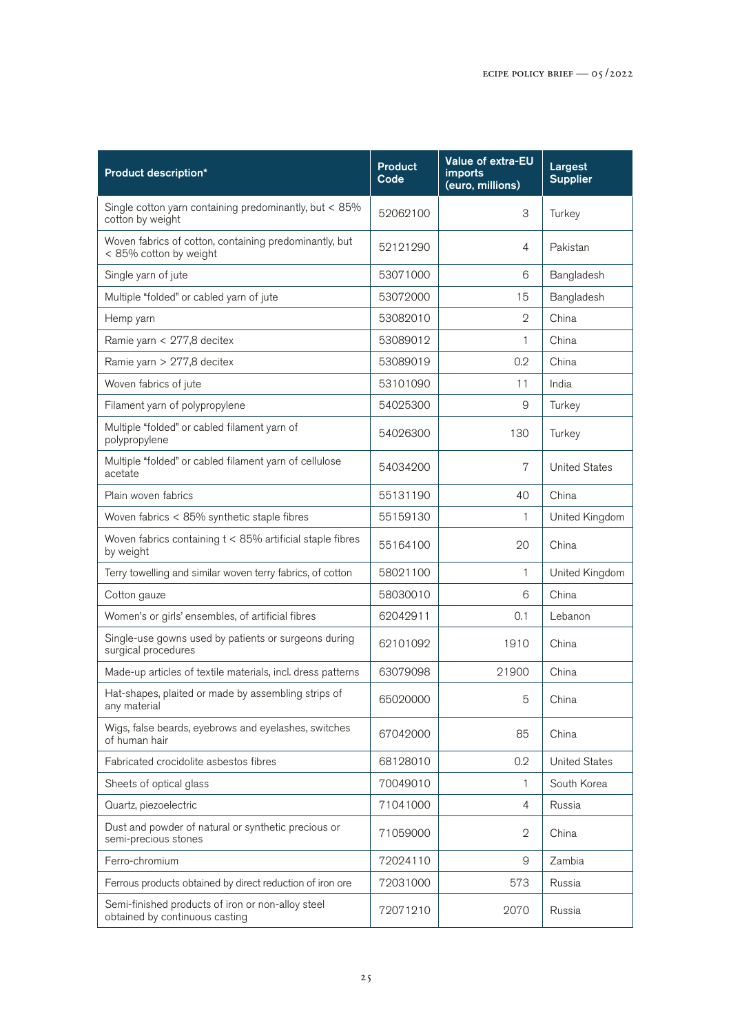| Product description*                                                                | <b>Product</b><br>Code | Value of extra-EU<br>imports<br>(euro, millions) | Largest<br><b>Supplier</b> |
|-------------------------------------------------------------------------------------|------------------------|--------------------------------------------------|----------------------------|
| Single cotton yarn containing predominantly, but < 85%<br>cotton by weight          | 52062100               | 3                                                | Turkey                     |
| Woven fabrics of cotton, containing predominantly, but<br>< 85% cotton by weight    | 52121290               | 4                                                | Pakistan                   |
| Single yarn of jute                                                                 | 53071000               | 6                                                | Bangladesh                 |
| Multiple "folded" or cabled yarn of jute                                            | 53072000               | 15                                               | Bangladesh                 |
| Hemp yarn                                                                           | 53082010               | $\mathbf{2}$                                     | China                      |
| Ramie yarn < 277,8 decitex                                                          | 53089012               | 1                                                | China                      |
| Ramie yarn > 277,8 decitex                                                          | 53089019               | 0.2                                              | China                      |
| Woven fabrics of jute                                                               | 53101090               | 11                                               | India                      |
| Filament yarn of polypropylene                                                      | 54025300               | 9                                                | Turkey                     |
| Multiple "folded" or cabled filament yarn of<br>polypropylene                       | 54026300               | 130                                              | Turkey                     |
| Multiple "folded" or cabled filament yarn of cellulose<br>acetate                   | 54034200               | 7                                                | <b>United States</b>       |
| Plain woven fabrics                                                                 | 55131190               | 40                                               | China                      |
| Woven fabrics < 85% synthetic staple fibres                                         | 55159130               | $\mathbf{1}$                                     | United Kingdom             |
| Woven fabrics containing $t < 85\%$ artificial staple fibres<br>by weight           | 55164100               | 20                                               | China                      |
| Terry towelling and similar woven terry fabrics, of cotton                          | 58021100               | 1                                                | United Kingdom             |
| Cotton gauze                                                                        | 58030010               | 6                                                | China                      |
| Women's or girls' ensembles, of artificial fibres                                   | 62042911               | 0.1                                              | Lebanon                    |
| Single-use gowns used by patients or surgeons during<br>surgical procedures         | 62101092               | 1910                                             | China                      |
| Made-up articles of textile materials, incl. dress patterns                         | 63079098               | 21900                                            | China                      |
| Hat-shapes, plaited or made by assembling strips of<br>any material                 | 65020000               | 5                                                | China                      |
| Wigs, false beards, eyebrows and eyelashes, switches<br>of human hair               | 67042000               | 85                                               | China                      |
| Fabricated crocidolite asbestos fibres                                              | 68128010               | 0.2                                              | <b>United States</b>       |
| Sheets of optical glass                                                             | 70049010               | 1                                                | South Korea                |
| Quartz, piezoelectric                                                               | 71041000               | $\overline{4}$                                   | Russia                     |
| Dust and powder of natural or synthetic precious or<br>semi-precious stones         | 71059000               | 2                                                | China                      |
| Ferro-chromium                                                                      | 72024110               | 9                                                | Zambia                     |
| Ferrous products obtained by direct reduction of iron ore                           | 72031000               | 573                                              | Russia                     |
| Semi-finished products of iron or non-alloy steel<br>obtained by continuous casting | 72071210               | 2070                                             | Russia                     |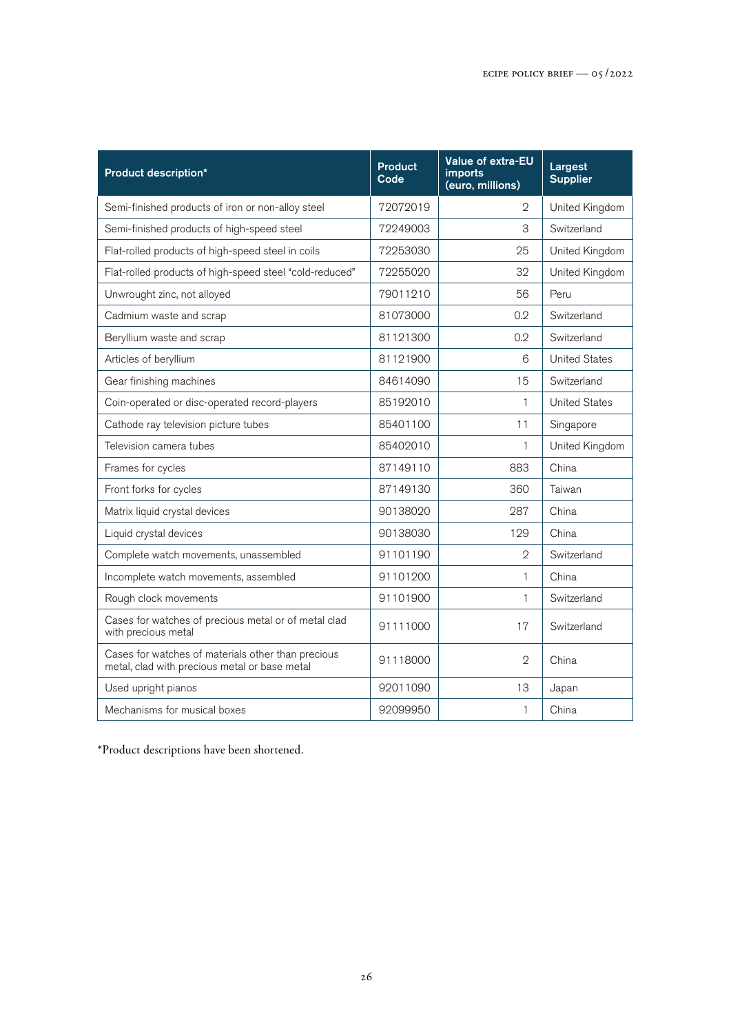| <b>Product description*</b>                                                                         | <b>Product</b><br>Code | Value of extra-EU<br><i>imports</i><br>(euro, millions) | Largest<br><b>Supplier</b> |
|-----------------------------------------------------------------------------------------------------|------------------------|---------------------------------------------------------|----------------------------|
| Semi-finished products of iron or non-alloy steel                                                   | 72072019               | $\overline{2}$                                          | United Kingdom             |
| Semi-finished products of high-speed steel                                                          | 72249003               | 3                                                       | Switzerland                |
| Flat-rolled products of high-speed steel in coils                                                   | 72253030               | 25                                                      | United Kingdom             |
| Flat-rolled products of high-speed steel "cold-reduced"                                             | 72255020               | 32                                                      | United Kingdom             |
| Unwrought zinc, not alloyed                                                                         | 79011210               | 56                                                      | Peru                       |
| Cadmium waste and scrap                                                                             | 81073000               | 0.2                                                     | Switzerland                |
| Beryllium waste and scrap                                                                           | 81121300               | 0.2                                                     | Switzerland                |
| Articles of beryllium                                                                               | 81121900               | 6                                                       | <b>United States</b>       |
| Gear finishing machines                                                                             | 84614090               | 15                                                      | Switzerland                |
| Coin-operated or disc-operated record-players                                                       | 85192010               | 1                                                       | <b>United States</b>       |
| Cathode ray television picture tubes                                                                | 85401100               | 11                                                      | Singapore                  |
| Television camera tubes                                                                             | 85402010               | $\mathbf{1}$                                            | United Kingdom             |
| Frames for cycles                                                                                   | 87149110               | 883                                                     | China                      |
| Front forks for cycles                                                                              | 87149130               | 360                                                     | Taiwan                     |
| Matrix liquid crystal devices                                                                       | 90138020               | 287                                                     | China                      |
| Liquid crystal devices                                                                              | 90138030               | 129                                                     | China                      |
| Complete watch movements, unassembled                                                               | 91101190               | $\mathfrak{D}$                                          | Switzerland                |
| Incomplete watch movements, assembled                                                               | 91101200               | 1                                                       | China                      |
| Rough clock movements                                                                               | 91101900               | 1                                                       | Switzerland                |
| Cases for watches of precious metal or of metal clad<br>with precious metal                         | 91111000               | 17                                                      | Switzerland                |
| Cases for watches of materials other than precious<br>metal, clad with precious metal or base metal | 91118000               | $\mathcal{D}$                                           | China                      |
| Used upright pianos                                                                                 | 92011090               | 13                                                      | Japan                      |
| Mechanisms for musical boxes                                                                        | 92099950               | 1                                                       | China                      |

\*Product descriptions have been shortened.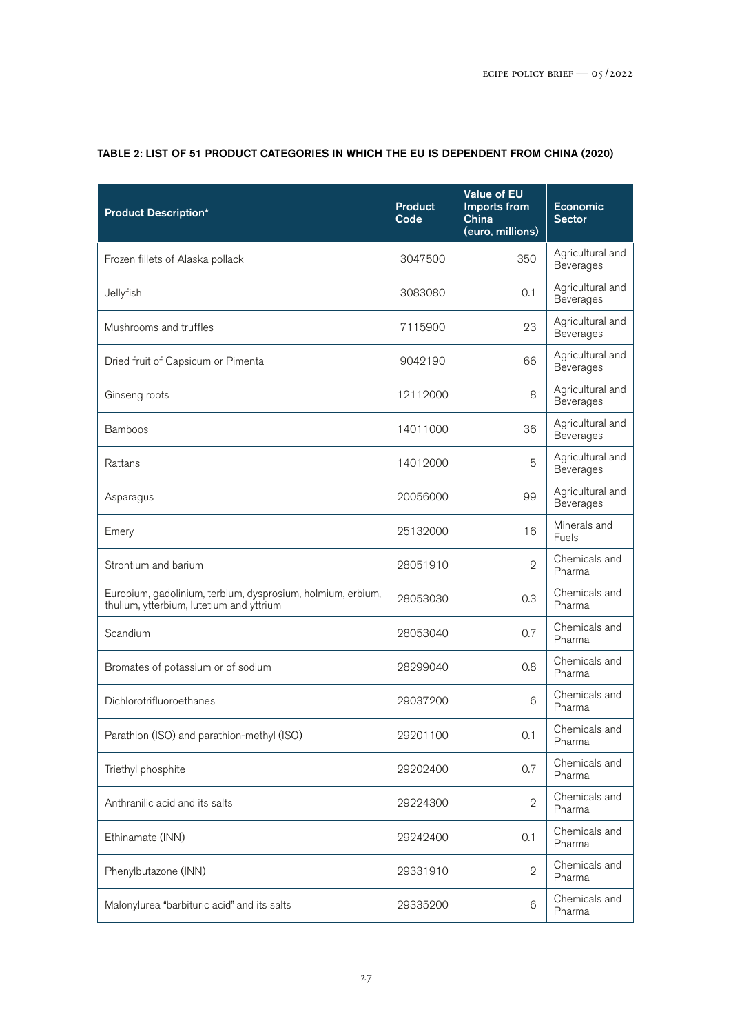| <b>Product Description*</b>                                                                             | <b>Product</b><br>Code | <b>Value of EU</b><br>Imports from<br>China<br>(euro, millions) | Economic<br><b>Sector</b>            |
|---------------------------------------------------------------------------------------------------------|------------------------|-----------------------------------------------------------------|--------------------------------------|
| Frozen fillets of Alaska pollack                                                                        | 3047500                | 350                                                             | Agricultural and<br><b>Beverages</b> |
| Jellyfish                                                                                               | 3083080                | 0.1                                                             | Agricultural and<br>Beverages        |
| Mushrooms and truffles                                                                                  | 7115900                | 23                                                              | Agricultural and<br>Beverages        |
| Dried fruit of Capsicum or Pimenta                                                                      | 9042190                | 66                                                              | Agricultural and<br><b>Beverages</b> |
| Ginseng roots                                                                                           | 12112000               | 8                                                               | Agricultural and<br>Beverages        |
| <b>Bamboos</b>                                                                                          | 14011000               | 36                                                              | Agricultural and<br>Beverages        |
| Rattans                                                                                                 | 14012000               | 5                                                               | Agricultural and<br>Beverages        |
| Asparagus                                                                                               | 20056000               | 99                                                              | Agricultural and<br>Beverages        |
| Emery                                                                                                   | 25132000               | 16                                                              | Minerals and<br>Fuels                |
| Strontium and barium                                                                                    | 28051910               | $\overline{2}$                                                  | Chemicals and<br>Pharma              |
| Europium, gadolinium, terbium, dysprosium, holmium, erbium,<br>thulium, ytterbium, lutetium and yttrium | 28053030               | 0.3                                                             | Chemicals and<br>Pharma              |
| Scandium                                                                                                | 28053040               | 0.7                                                             | Chemicals and<br>Pharma              |
| Bromates of potassium or of sodium                                                                      | 28299040               | 0.8                                                             | Chemicals and<br>Pharma              |
| Dichlorotrifluoroethanes                                                                                | 29037200               | 6                                                               | Chemicals and<br>Pharma              |
| Parathion (ISO) and parathion-methyl (ISO)                                                              | 29201100               | 0.1                                                             | Chemicals and<br>Pharma              |
| Triethyl phosphite                                                                                      | 29202400               | 0.7                                                             | Chemicals and<br>Pharma              |
| Anthranilic acid and its salts                                                                          | 29224300               | $\mathbf{2}$                                                    | Chemicals and<br>Pharma              |
| Ethinamate (INN)                                                                                        | 29242400               | 0.1                                                             | Chemicals and<br>Pharma              |
| Phenylbutazone (INN)                                                                                    | 29331910               | $\mathbf{2}$                                                    | Chemicals and<br>Pharma              |
| Malonylurea "barbituric acid" and its salts                                                             | 29335200               | 6                                                               | Chemicals and<br>Pharma              |

## TABLE 2: LIST OF 51 PRODUCT CATEGORIES IN WHICH THE EU IS DEPENDENT FROM CHINA (2020)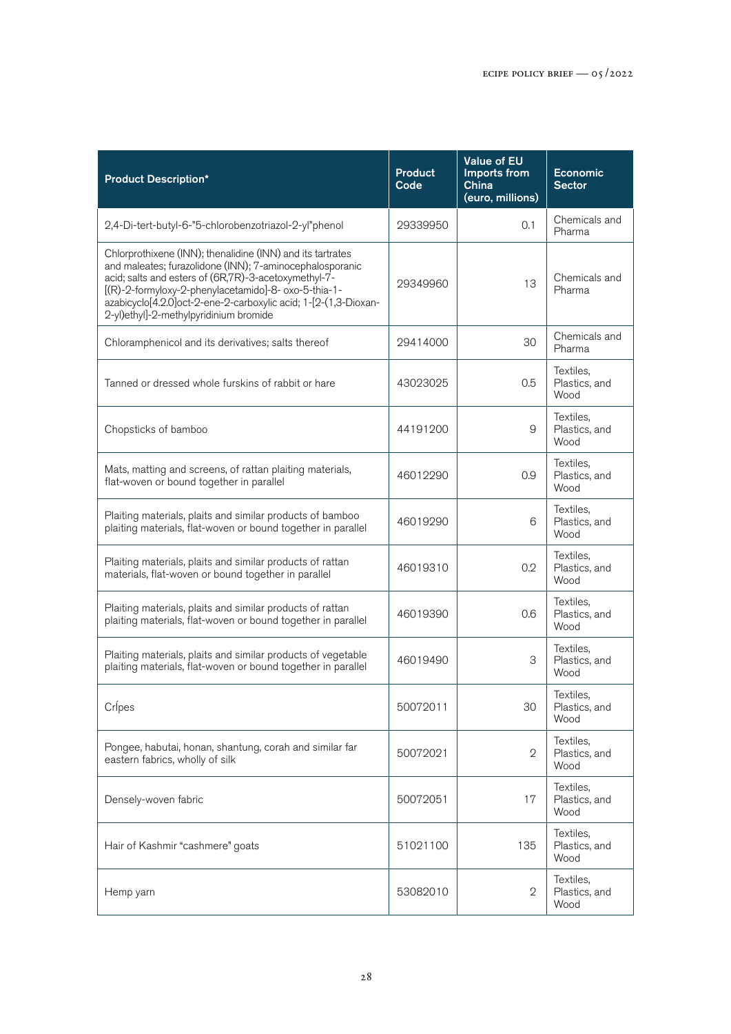| <b>Product Description*</b>                                                                                                                                                                                                                                                                                                                         | <b>Product</b><br>Code | <b>Value of EU</b><br>Imports from<br>China<br>(euro, millions) | <b>Economic</b><br><b>Sector</b>   |
|-----------------------------------------------------------------------------------------------------------------------------------------------------------------------------------------------------------------------------------------------------------------------------------------------------------------------------------------------------|------------------------|-----------------------------------------------------------------|------------------------------------|
| 2,4-Di-tert-butyl-6-"5-chlorobenzotriazol-2-yl"phenol                                                                                                                                                                                                                                                                                               | 29339950               | 0.1                                                             | Chemicals and<br>Pharma            |
| Chlorprothixene (INN); thenalidine (INN) and its tartrates<br>and maleates; furazolidone (INN); 7-aminocephalosporanic<br>acid; salts and esters of (6R,7R)-3-acetoxymethyl-7-<br>[(R)-2-formyloxy-2-phenylacetamido]-8- oxo-5-thia-1-<br>azabicyclo[4.2.0]oct-2-ene-2-carboxylic acid; 1-[2-(1,3-Dioxan-<br>2-yl)ethyl]-2-methylpyridinium bromide | 29349960               | 13                                                              | Chemicals and<br>Pharma            |
| Chloramphenicol and its derivatives; salts thereof                                                                                                                                                                                                                                                                                                  | 29414000               | 30                                                              | Chemicals and<br>Pharma            |
| Tanned or dressed whole furskins of rabbit or hare                                                                                                                                                                                                                                                                                                  | 43023025               | 0.5                                                             | Textiles.<br>Plastics, and<br>Wood |
| Chopsticks of bamboo                                                                                                                                                                                                                                                                                                                                | 44191200               | 9                                                               | Textiles,<br>Plastics, and<br>Wood |
| Mats, matting and screens, of rattan plaiting materials,<br>flat-woven or bound together in parallel                                                                                                                                                                                                                                                | 46012290               | 0.9                                                             | Textiles,<br>Plastics, and<br>Wood |
| Plaiting materials, plaits and similar products of bamboo<br>plaiting materials, flat-woven or bound together in parallel                                                                                                                                                                                                                           | 46019290               | 6                                                               | Textiles,<br>Plastics, and<br>Wood |
| Plaiting materials, plaits and similar products of rattan<br>materials, flat-woven or bound together in parallel                                                                                                                                                                                                                                    | 46019310               | 0.2                                                             | Textiles,<br>Plastics, and<br>Wood |
| Plaiting materials, plaits and similar products of rattan<br>plaiting materials, flat-woven or bound together in parallel                                                                                                                                                                                                                           | 46019390               | 0.6                                                             | Textiles,<br>Plastics, and<br>Wood |
| Plaiting materials, plaits and similar products of vegetable<br>plaiting materials, flat-woven or bound together in parallel                                                                                                                                                                                                                        | 46019490               | З                                                               | Textiles,<br>Plastics, and<br>Wood |
| Crípes                                                                                                                                                                                                                                                                                                                                              | 50072011               | 30                                                              | Textiles,<br>Plastics, and<br>Wood |
| Pongee, habutai, honan, shantung, corah and similar far<br>eastern fabrics, wholly of silk                                                                                                                                                                                                                                                          | 50072021               | $\mathfrak{D}$                                                  | Textiles,<br>Plastics, and<br>Wood |
| Densely-woven fabric                                                                                                                                                                                                                                                                                                                                | 50072051               | 17                                                              | Textiles,<br>Plastics, and<br>Wood |
| Hair of Kashmir "cashmere" goats                                                                                                                                                                                                                                                                                                                    | 51021100               | 135                                                             | Textiles,<br>Plastics, and<br>Wood |
| Hemp yarn                                                                                                                                                                                                                                                                                                                                           | 53082010               | $\mathbf{2}$                                                    | Textiles,<br>Plastics, and<br>Wood |